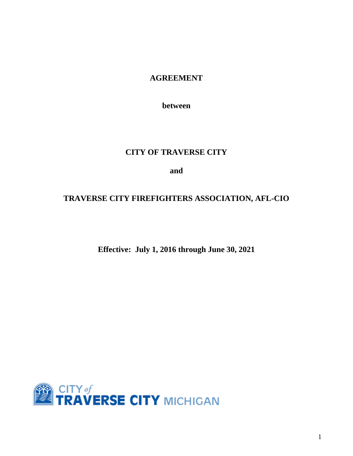# **AGREEMENT**

**between**

# **CITY OF TRAVERSE CITY**

**and**

# **TRAVERSE CITY FIREFIGHTERS ASSOCIATION, AFL-CIO**

# **Effective: July 1, 2016 through June 30, 2021**

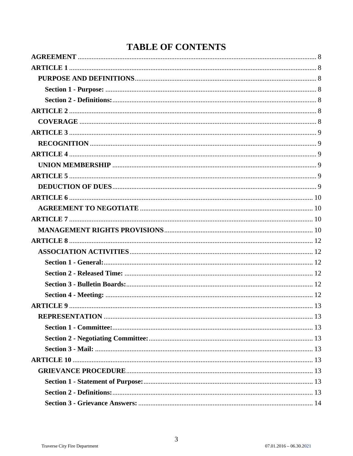# **TABLE OF CONTENTS**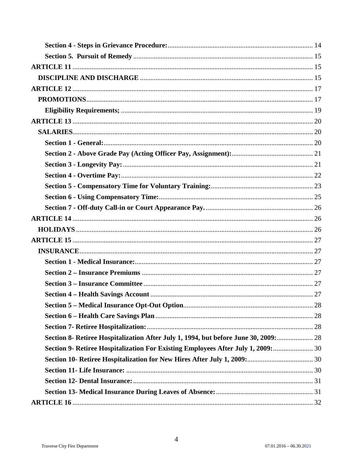| Section 8- Retiree Hospitalization After July 1, 1994, but before June 30, 2009:  28 |  |
|--------------------------------------------------------------------------------------|--|
| Section 9- Retiree Hospitalization For Existing Employees After July 1, 2009:        |  |
|                                                                                      |  |
|                                                                                      |  |
|                                                                                      |  |
|                                                                                      |  |
|                                                                                      |  |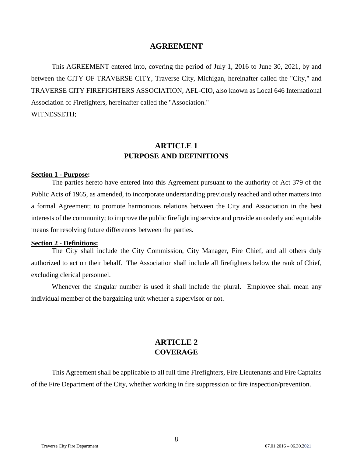## **AGREEMENT**

<span id="page-7-0"></span>This AGREEMENT entered into, covering the period of July 1, 2016 to June 30, 2021, by and between the CITY OF TRAVERSE CITY, Traverse City, Michigan, hereinafter called the "City," and TRAVERSE CITY FIREFIGHTERS ASSOCIATION, AFL-CIO, also known as Local 646 International Association of Firefighters, hereinafter called the "Association." WITNESSETH;

# **ARTICLE 1 PURPOSE AND DEFINITIONS**

#### <span id="page-7-3"></span><span id="page-7-2"></span><span id="page-7-1"></span>**Section 1 - Purpose:**

The parties hereto have entered into this Agreement pursuant to the authority of Act 379 of the Public Acts of 1965, as amended, to incorporate understanding previously reached and other matters into a formal Agreement; to promote harmonious relations between the City and Association in the best interests of the community; to improve the public firefighting service and provide an orderly and equitable means for resolving future differences between the parties.

#### <span id="page-7-4"></span>**Section 2 - Definitions:**

The City shall include the City Commission, City Manager, Fire Chief, and all others duly authorized to act on their behalf. The Association shall include all firefighters below the rank of Chief, excluding clerical personnel.

Whenever the singular number is used it shall include the plural. Employee shall mean any individual member of the bargaining unit whether a supervisor or not.

# **ARTICLE 2 COVERAGE**

<span id="page-7-6"></span><span id="page-7-5"></span>This Agreement shall be applicable to all full time Firefighters, Fire Lieutenants and Fire Captains of the Fire Department of the City, whether working in fire suppression or fire inspection/prevention.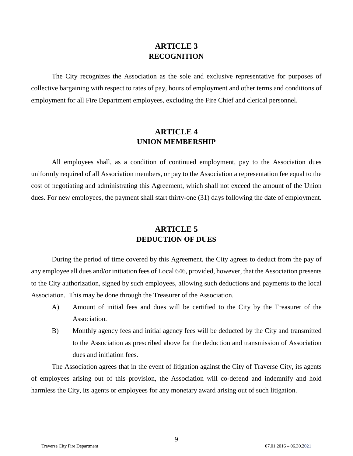# **ARTICLE 3 RECOGNITION**

<span id="page-8-1"></span><span id="page-8-0"></span>The City recognizes the Association as the sole and exclusive representative for purposes of collective bargaining with respect to rates of pay, hours of employment and other terms and conditions of employment for all Fire Department employees, excluding the Fire Chief and clerical personnel.

# **ARTICLE 4 UNION MEMBERSHIP**

<span id="page-8-3"></span><span id="page-8-2"></span>All employees shall, as a condition of continued employment, pay to the Association dues uniformly required of all Association members, or pay to the Association a representation fee equal to the cost of negotiating and administrating this Agreement, which shall not exceed the amount of the Union dues. For new employees, the payment shall start thirty-one (31) days following the date of employment.

# **ARTICLE 5 DEDUCTION OF DUES**

<span id="page-8-5"></span><span id="page-8-4"></span>During the period of time covered by this Agreement, the City agrees to deduct from the pay of any employee all dues and/or initiation fees of Local 646, provided, however, that the Association presents to the City authorization, signed by such employees, allowing such deductions and payments to the local Association. This may be done through the Treasurer of the Association.

- A) Amount of initial fees and dues will be certified to the City by the Treasurer of the Association.
- B) Monthly agency fees and initial agency fees will be deducted by the City and transmitted to the Association as prescribed above for the deduction and transmission of Association dues and initiation fees.

The Association agrees that in the event of litigation against the City of Traverse City, its agents of employees arising out of this provision, the Association will co-defend and indemnify and hold harmless the City, its agents or employees for any monetary award arising out of such litigation.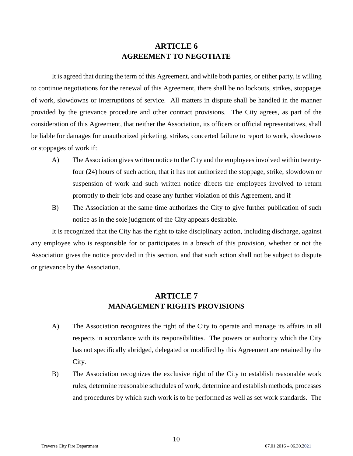# **ARTICLE 6 AGREEMENT TO NEGOTIATE**

<span id="page-9-1"></span><span id="page-9-0"></span>It is agreed that during the term of this Agreement, and while both parties, or either party, is willing to continue negotiations for the renewal of this Agreement, there shall be no lockouts, strikes, stoppages of work, slowdowns or interruptions of service. All matters in dispute shall be handled in the manner provided by the grievance procedure and other contract provisions. The City agrees, as part of the consideration of this Agreement, that neither the Association, its officers or official representatives, shall be liable for damages for unauthorized picketing, strikes, concerted failure to report to work, slowdowns or stoppages of work if:

- A) The Association gives written notice to the City and the employees involved within twentyfour (24) hours of such action, that it has not authorized the stoppage, strike, slowdown or suspension of work and such written notice directs the employees involved to return promptly to their jobs and cease any further violation of this Agreement, and if
- B) The Association at the same time authorizes the City to give further publication of such notice as in the sole judgment of the City appears desirable.

It is recognized that the City has the right to take disciplinary action, including discharge, against any employee who is responsible for or participates in a breach of this provision, whether or not the Association gives the notice provided in this section, and that such action shall not be subject to dispute or grievance by the Association.

# **ARTICLE 7 MANAGEMENT RIGHTS PROVISIONS**

- <span id="page-9-3"></span><span id="page-9-2"></span>A) The Association recognizes the right of the City to operate and manage its affairs in all respects in accordance with its responsibilities. The powers or authority which the City has not specifically abridged, delegated or modified by this Agreement are retained by the City.
- B) The Association recognizes the exclusive right of the City to establish reasonable work rules, determine reasonable schedules of work, determine and establish methods, processes and procedures by which such work is to be performed as well as set work standards. The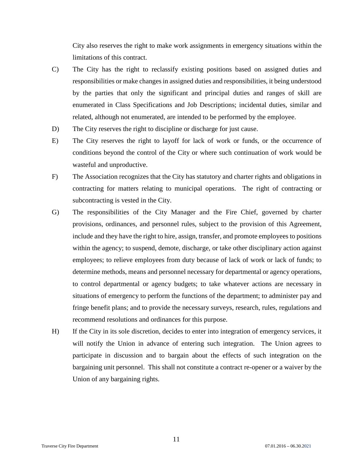City also reserves the right to make work assignments in emergency situations within the limitations of this contract.

- C) The City has the right to reclassify existing positions based on assigned duties and responsibilities or make changes in assigned duties and responsibilities, it being understood by the parties that only the significant and principal duties and ranges of skill are enumerated in Class Specifications and Job Descriptions; incidental duties, similar and related, although not enumerated, are intended to be performed by the employee.
- D) The City reserves the right to discipline or discharge for just cause.
- E) The City reserves the right to layoff for lack of work or funds, or the occurrence of conditions beyond the control of the City or where such continuation of work would be wasteful and unproductive.
- F) The Association recognizes that the City has statutory and charter rights and obligations in contracting for matters relating to municipal operations. The right of contracting or subcontracting is vested in the City.
- G) The responsibilities of the City Manager and the Fire Chief, governed by charter provisions, ordinances, and personnel rules, subject to the provision of this Agreement, include and they have the right to hire, assign, transfer, and promote employees to positions within the agency; to suspend, demote, discharge, or take other disciplinary action against employees; to relieve employees from duty because of lack of work or lack of funds; to determine methods, means and personnel necessary for departmental or agency operations, to control departmental or agency budgets; to take whatever actions are necessary in situations of emergency to perform the functions of the department; to administer pay and fringe benefit plans; and to provide the necessary surveys, research, rules, regulations and recommend resolutions and ordinances for this purpose.
- H) If the City in its sole discretion, decides to enter into integration of emergency services, it will notify the Union in advance of entering such integration. The Union agrees to participate in discussion and to bargain about the effects of such integration on the bargaining unit personnel. This shall not constitute a contract re-opener or a waiver by the Union of any bargaining rights.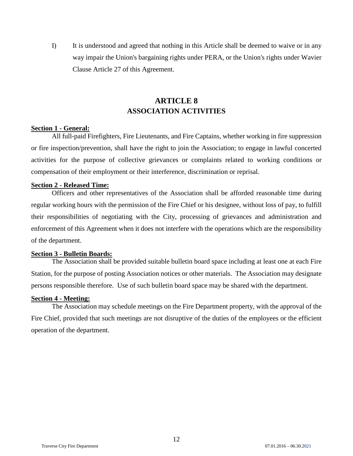I) It is understood and agreed that nothing in this Article shall be deemed to waive or in any way impair the Union's bargaining rights under PERA, or the Union's rights under Wavier Clause Article 27 of this Agreement.

# **ARTICLE 8 ASSOCIATION ACTIVITIES**

#### <span id="page-11-2"></span><span id="page-11-1"></span><span id="page-11-0"></span>**Section 1 - General:**

All full-paid Firefighters, Fire Lieutenants, and Fire Captains, whether working in fire suppression or fire inspection/prevention, shall have the right to join the Association; to engage in lawful concerted activities for the purpose of collective grievances or complaints related to working conditions or compensation of their employment or their interference, discrimination or reprisal.

## <span id="page-11-3"></span>**Section 2 - Released Time:**

Officers and other representatives of the Association shall be afforded reasonable time during regular working hours with the permission of the Fire Chief or his designee, without loss of pay, to fulfill their responsibilities of negotiating with the City, processing of grievances and administration and enforcement of this Agreement when it does not interfere with the operations which are the responsibility of the department.

### <span id="page-11-4"></span>**Section 3 - Bulletin Boards:**

The Association shall be provided suitable bulletin board space including at least one at each Fire Station, for the purpose of posting Association notices or other materials. The Association may designate persons responsible therefore. Use of such bulletin board space may be shared with the department.

## <span id="page-11-5"></span>**Section 4 - Meeting:**

The Association may schedule meetings on the Fire Department property, with the approval of the Fire Chief, provided that such meetings are not disruptive of the duties of the employees or the efficient operation of the department.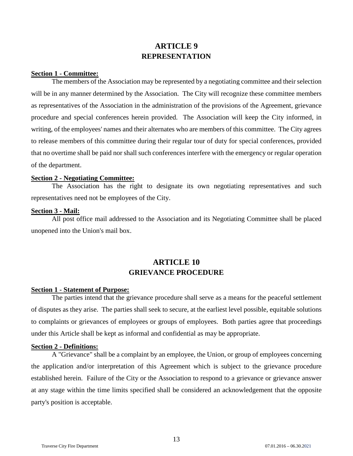# **ARTICLE 9 REPRESENTATION**

## <span id="page-12-2"></span><span id="page-12-1"></span><span id="page-12-0"></span>**Section 1 - Committee:**

The members of the Association may be represented by a negotiating committee and their selection will be in any manner determined by the Association. The City will recognize these committee members as representatives of the Association in the administration of the provisions of the Agreement, grievance procedure and special conferences herein provided. The Association will keep the City informed, in writing, of the employees' names and their alternates who are members of this committee. The City agrees to release members of this committee during their regular tour of duty for special conferences, provided that no overtime shall be paid nor shall such conferences interfere with the emergency or regular operation of the department.

#### <span id="page-12-3"></span>**Section 2 - Negotiating Committee:**

The Association has the right to designate its own negotiating representatives and such representatives need not be employees of the City.

#### <span id="page-12-4"></span>**Section 3 - Mail:**

<span id="page-12-5"></span>All post office mail addressed to the Association and its Negotiating Committee shall be placed unopened into the Union's mail box.

# **ARTICLE 10 GRIEVANCE PROCEDURE**

## <span id="page-12-7"></span><span id="page-12-6"></span>**Section 1 - Statement of Purpose:**

The parties intend that the grievance procedure shall serve as a means for the peaceful settlement of disputes as they arise. The parties shall seek to secure, at the earliest level possible, equitable solutions to complaints or grievances of employees or groups of employees. Both parties agree that proceedings under this Article shall be kept as informal and confidential as may be appropriate.

## <span id="page-12-8"></span>**Section 2 - Definitions:**

A "Grievance" shall be a complaint by an employee, the Union, or group of employees concerning the application and/or interpretation of this Agreement which is subject to the grievance procedure established herein. Failure of the City or the Association to respond to a grievance or grievance answer at any stage within the time limits specified shall be considered an acknowledgement that the opposite party's position is acceptable.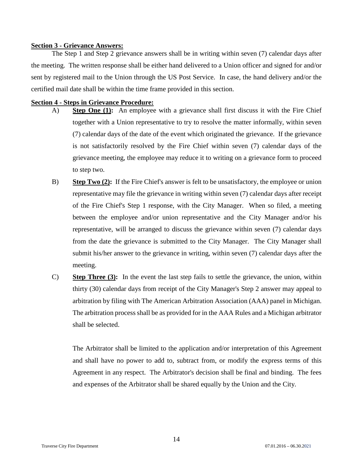## <span id="page-13-0"></span>**Section 3 - Grievance Answers:**

The Step 1 and Step 2 grievance answers shall be in writing within seven (7) calendar days after the meeting. The written response shall be either hand delivered to a Union officer and signed for and/or sent by registered mail to the Union through the US Post Service. In case, the hand delivery and/or the certified mail date shall be within the time frame provided in this section.

## <span id="page-13-1"></span>**Section 4 - Steps in Grievance Procedure:**

- A) **Step One (1):** An employee with a grievance shall first discuss it with the Fire Chief together with a Union representative to try to resolve the matter informally, within seven (7) calendar days of the date of the event which originated the grievance. If the grievance is not satisfactorily resolved by the Fire Chief within seven (7) calendar days of the grievance meeting, the employee may reduce it to writing on a grievance form to proceed to step two.
- B) **Step Two (2):** If the Fire Chief's answer is felt to be unsatisfactory, the employee or union representative may file the grievance in writing within seven (7) calendar days after receipt of the Fire Chief's Step 1 response, with the City Manager. When so filed, a meeting between the employee and/or union representative and the City Manager and/or his representative, will be arranged to discuss the grievance within seven (7) calendar days from the date the grievance is submitted to the City Manager. The City Manager shall submit his/her answer to the grievance in writing, within seven (7) calendar days after the meeting.
- C) **Step Three (3):** In the event the last step fails to settle the grievance, the union, within thirty (30) calendar days from receipt of the City Manager's Step 2 answer may appeal to arbitration by filing with The American Arbitration Association (AAA) panel in Michigan. The arbitration process shall be as provided for in the AAA Rules and a Michigan arbitrator shall be selected.

The Arbitrator shall be limited to the application and/or interpretation of this Agreement and shall have no power to add to, subtract from, or modify the express terms of this Agreement in any respect. The Arbitrator's decision shall be final and binding. The fees and expenses of the Arbitrator shall be shared equally by the Union and the City.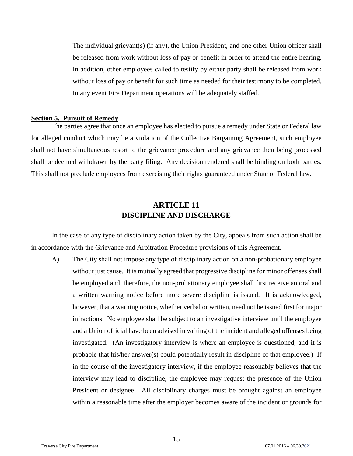The individual grievant(s) (if any), the Union President, and one other Union officer shall be released from work without loss of pay or benefit in order to attend the entire hearing. In addition, other employees called to testify by either party shall be released from work without loss of pay or benefit for such time as needed for their testimony to be completed. In any event Fire Department operations will be adequately staffed.

#### <span id="page-14-0"></span>**Section 5. Pursuit of Remedy**

The parties agree that once an employee has elected to pursue a remedy under State or Federal law for alleged conduct which may be a violation of the Collective Bargaining Agreement, such employee shall not have simultaneous resort to the grievance procedure and any grievance then being processed shall be deemed withdrawn by the party filing. Any decision rendered shall be binding on both parties. This shall not preclude employees from exercising their rights guaranteed under State or Federal law.

# **ARTICLE 11 DISCIPLINE AND DISCHARGE**

<span id="page-14-2"></span><span id="page-14-1"></span>In the case of any type of disciplinary action taken by the City, appeals from such action shall be in accordance with the Grievance and Arbitration Procedure provisions of this Agreement.

A) The City shall not impose any type of disciplinary action on a non-probationary employee without just cause. It is mutually agreed that progressive discipline for minor offenses shall be employed and, therefore, the non-probationary employee shall first receive an oral and a written warning notice before more severe discipline is issued. It is acknowledged, however, that a warning notice, whether verbal or written, need not be issued first for major infractions. No employee shall be subject to an investigative interview until the employee and a Union official have been advised in writing of the incident and alleged offenses being investigated. (An investigatory interview is where an employee is questioned, and it is probable that his/her answer(s) could potentially result in discipline of that employee.) If in the course of the investigatory interview, if the employee reasonably believes that the interview may lead to discipline, the employee may request the presence of the Union President or designee. All disciplinary charges must be brought against an employee within a reasonable time after the employer becomes aware of the incident or grounds for

15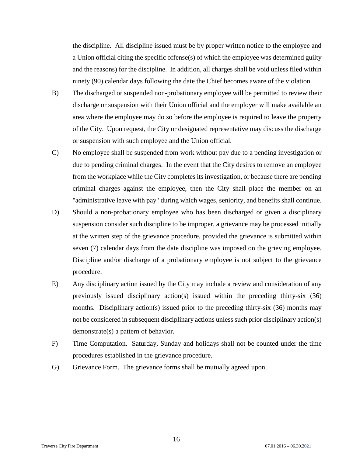the discipline. All discipline issued must be by proper written notice to the employee and a Union official citing the specific offense(s) of which the employee was determined guilty and the reasons) for the discipline. In addition, all charges shall be void unless filed within ninety (90) calendar days following the date the Chief becomes aware of the violation.

- B) The discharged or suspended non-probationary employee will be permitted to review their discharge or suspension with their Union official and the employer will make available an area where the employee may do so before the employee is required to leave the property of the City. Upon request, the City or designated representative may discuss the discharge or suspension with such employee and the Union official.
- C) No employee shall be suspended from work without pay due to a pending investigation or due to pending criminal charges. In the event that the City desires to remove an employee from the workplace while the City completes its investigation, or because there are pending criminal charges against the employee, then the City shall place the member on an "administrative leave with pay" during which wages, seniority, and benefits shall continue.
- D) Should a non-probationary employee who has been discharged or given a disciplinary suspension consider such discipline to be improper, a grievance may be processed initially at the written step of the grievance procedure, provided the grievance is submitted within seven (7) calendar days from the date discipline was imposed on the grieving employee. Discipline and/or discharge of a probationary employee is not subject to the grievance procedure.
- E) Any disciplinary action issued by the City may include a review and consideration of any previously issued disciplinary action(s) issued within the preceding thirty-six (36) months. Disciplinary action(s) issued prior to the preceding thirty-six (36) months may not be considered in subsequent disciplinary actions unless such prior disciplinary action(s) demonstrate(s) a pattern of behavior.
- F) Time Computation. Saturday, Sunday and holidays shall not be counted under the time procedures established in the grievance procedure.
- G) Grievance Form. The grievance forms shall be mutually agreed upon.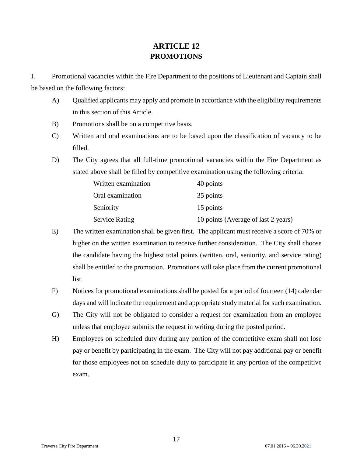# **ARTICLE 12 PROMOTIONS**

<span id="page-16-1"></span><span id="page-16-0"></span>I. Promotional vacancies within the Fire Department to the positions of Lieutenant and Captain shall be based on the following factors:

- A) Qualified applicants may apply and promote in accordance with the eligibility requirements in this section of this Article.
- B) Promotions shall be on a competitive basis.
- C) Written and oral examinations are to be based upon the classification of vacancy to be filled.
- D) The City agrees that all full-time promotional vacancies within the Fire Department as stated above shall be filled by competitive examination using the following criteria:

| Written examination   | 40 points                           |
|-----------------------|-------------------------------------|
| Oral examination      | 35 points                           |
| Seniority             | 15 points                           |
| <b>Service Rating</b> | 10 points (Average of last 2 years) |

- E) The written examination shall be given first. The applicant must receive a score of 70% or higher on the written examination to receive further consideration. The City shall choose the candidate having the highest total points (written, oral, seniority, and service rating) shall be entitled to the promotion. Promotions will take place from the current promotional list.
- F) Notices for promotional examinations shall be posted for a period of fourteen (14) calendar days and will indicate the requirement and appropriate study material for such examination.
- G) The City will not be obligated to consider a request for examination from an employee unless that employee submits the request in writing during the posted period.
- H) Employees on scheduled duty during any portion of the competitive exam shall not lose pay or benefit by participating in the exam. The City will not pay additional pay or benefit for those employees not on schedule duty to participate in any portion of the competitive exam.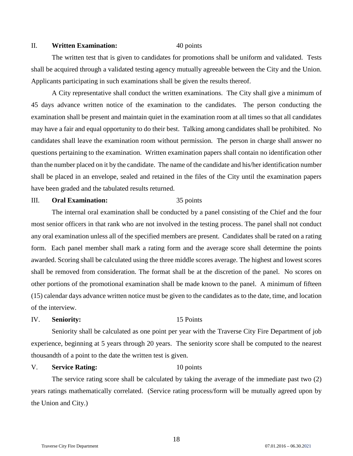#### II. **Written Examination:** 40 points

The written test that is given to candidates for promotions shall be uniform and validated. Tests shall be acquired through a validated testing agency mutually agreeable between the City and the Union. Applicants participating in such examinations shall be given the results thereof.

A City representative shall conduct the written examinations. The City shall give a minimum of 45 days advance written notice of the examination to the candidates. The person conducting the examination shall be present and maintain quiet in the examination room at all times so that all candidates may have a fair and equal opportunity to do their best. Talking among candidates shall be prohibited. No candidates shall leave the examination room without permission. The person in charge shall answer no questions pertaining to the examination. Written examination papers shall contain no identification other than the number placed on it by the candidate. The name of the candidate and his/her identification number shall be placed in an envelope, sealed and retained in the files of the City until the examination papers have been graded and the tabulated results returned.

## III. **Oral Examination:** 35 points

The internal oral examination shall be conducted by a panel consisting of the Chief and the four most senior officers in that rank who are not involved in the testing process. The panel shall not conduct any oral examination unless all of the specified members are present. Candidates shall be rated on a rating form. Each panel member shall mark a rating form and the average score shall determine the points awarded. Scoring shall be calculated using the three middle scores average. The highest and lowest scores shall be removed from consideration. The format shall be at the discretion of the panel. No scores on other portions of the promotional examination shall be made known to the panel. A minimum of fifteen (15) calendar days advance written notice must be given to the candidates as to the date, time, and location of the interview.

## IV. **Seniority:** 15 Points

Seniority shall be calculated as one point per year with the Traverse City Fire Department of job experience, beginning at 5 years through 20 years. The seniority score shall be computed to the nearest thousandth of a point to the date the written test is given.

## V. **Service Rating:** 10 points

The service rating score shall be calculated by taking the average of the immediate past two (2) years ratings mathematically correlated. (Service rating process/form will be mutually agreed upon by the Union and City.)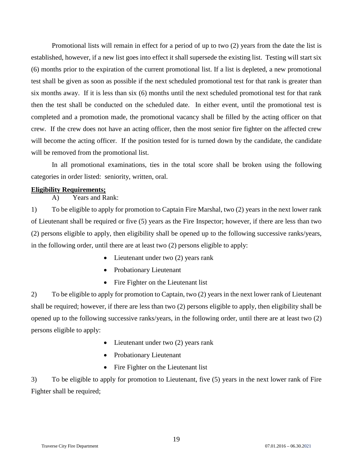Promotional lists will remain in effect for a period of up to two (2) years from the date the list is established, however, if a new list goes into effect it shall supersede the existing list. Testing will start six (6) months prior to the expiration of the current promotional list. If a list is depleted, a new promotional test shall be given as soon as possible if the next scheduled promotional test for that rank is greater than six months away. If it is less than six (6) months until the next scheduled promotional test for that rank then the test shall be conducted on the scheduled date. In either event, until the promotional test is completed and a promotion made, the promotional vacancy shall be filled by the acting officer on that crew. If the crew does not have an acting officer, then the most senior fire fighter on the affected crew will become the acting officer. If the position tested for is turned down by the candidate, the candidate will be removed from the promotional list.

In all promotional examinations, ties in the total score shall be broken using the following categories in order listed: seniority, written, oral.

## <span id="page-18-0"></span>**Eligibility Requirements;**

A) Years and Rank:

1) To be eligible to apply for promotion to Captain Fire Marshal, two (2) years in the next lower rank of Lieutenant shall be required or five (5) years as the Fire Inspector; however, if there are less than two (2) persons eligible to apply, then eligibility shall be opened up to the following successive ranks/years, in the following order, until there are at least two (2) persons eligible to apply:

- Lieutenant under two (2) years rank
- Probationary Lieutenant
- Fire Fighter on the Lieutenant list

2) To be eligible to apply for promotion to Captain, two (2) years in the next lower rank of Lieutenant shall be required; however, if there are less than two (2) persons eligible to apply, then eligibility shall be opened up to the following successive ranks/years, in the following order, until there are at least two (2) persons eligible to apply:

- Lieutenant under two (2) years rank
- Probationary Lieutenant
- Fire Fighter on the Lieutenant list

3) To be eligible to apply for promotion to Lieutenant, five (5) years in the next lower rank of Fire Fighter shall be required;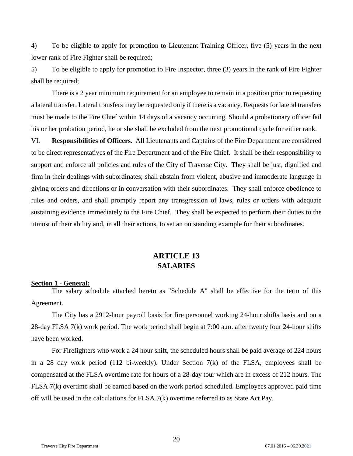4) To be eligible to apply for promotion to Lieutenant Training Officer, five (5) years in the next lower rank of Fire Fighter shall be required;

5) To be eligible to apply for promotion to Fire Inspector, three (3) years in the rank of Fire Fighter shall be required;

There is a 2 year minimum requirement for an employee to remain in a position prior to requesting a lateral transfer. Lateral transfers may be requested only if there is a vacancy. Requests for lateral transfers must be made to the Fire Chief within 14 days of a vacancy occurring. Should a probationary officer fail his or her probation period, he or she shall be excluded from the next promotional cycle for either rank.

VI. **Responsibilities of Officers.** All Lieutenants and Captains of the Fire Department are considered to be direct representatives of the Fire Department and of the Fire Chief. It shall be their responsibility to support and enforce all policies and rules of the City of Traverse City. They shall be just, dignified and firm in their dealings with subordinates; shall abstain from violent, abusive and immoderate language in giving orders and directions or in conversation with their subordinates. They shall enforce obedience to rules and orders, and shall promptly report any transgression of laws, rules or orders with adequate sustaining evidence immediately to the Fire Chief. They shall be expected to perform their duties to the utmost of their ability and, in all their actions, to set an outstanding example for their subordinates.

# **ARTICLE 13 SALARIES**

## <span id="page-19-2"></span><span id="page-19-1"></span><span id="page-19-0"></span>**Section 1 - General:**

The salary schedule attached hereto as "Schedule A" shall be effective for the term of this Agreement.

The City has a 2912-hour payroll basis for fire personnel working 24-hour shifts basis and on a 28-day FLSA 7(k) work period. The work period shall begin at 7:00 a.m. after twenty four 24-hour shifts have been worked.

For Firefighters who work a 24 hour shift, the scheduled hours shall be paid average of 224 hours in a 28 day work period (112 bi-weekly). Under Section 7(k) of the FLSA, employees shall be compensated at the FLSA overtime rate for hours of a 28-day tour which are in excess of 212 hours. The FLSA 7(k) overtime shall be earned based on the work period scheduled. Employees approved paid time off will be used in the calculations for FLSA 7(k) overtime referred to as State Act Pay.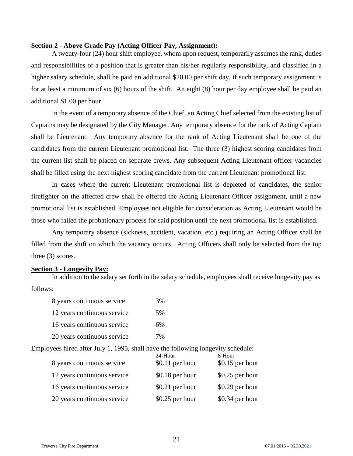## <span id="page-20-0"></span>**Section 2 - Above Grade Pay (Acting Officer Pay, Assignment):**

A twenty-four (24) hour shift employee, whom upon request, temporarily assumes the rank, duties and responsibilities of a position that is greater than his/her regularly responsibility, and classified in a higher salary schedule, shall be paid an additional \$20.00 per shift day, if such temporary assignment is for at least a minimum of six (6) hours of the shift. An eight (8) hour per day employee shall be paid an additional \$1.00 per hour.

In the event of a temporary absence of the Chief, an Acting Chief selected from the existing list of Captains may be designated by the City Manager. Any temporary absence for the rank of Acting Captain shall be Lieutenant. Any temporary absence for the rank of Acting Lieutenant shall be one of the candidates from the current Lieutenant promotional list. The three (3) highest scoring candidates from the current list shall be placed on separate crews. Any subsequent Acting Lieutenant officer vacancies shall be filled using the next highest scoring candidate from the current Lieutenant promotional list.

In cases where the current Lieutenant promotional list is depleted of candidates, the senior firefighter on the affected crew shall be offered the Acting Lieutenant Officer assignment, until a new promotional list is established. Employees not eligible for consideration as Acting Lieutenant would be those who failed the probationary process for said position until the next promotional list is established.

Any temporary absence (sickness, accident, vacation, etc.) requiring an Acting Officer shall be filled from the shift on which the vacancy occurs. Acting Officers shall only be selected from the top three (3) scores.

#### <span id="page-20-1"></span>**Section 3 - Longevity Pay:**

In addition to the salary set forth in the salary schedule, employees shall receive longevity pay as follows:

| 8 years continuous service  | 3% |
|-----------------------------|----|
| 12 years continuous service | 5% |
| 16 years continuous service | 6% |
| 20 years continuous service | 7% |

Employees hired after July 1, 1995, shall have the following longevity schedule:

| 8 years continuous service  | 24-Hour<br>$$0.11$ per hour | 8-Hour<br>$$0.15$ per hour |
|-----------------------------|-----------------------------|----------------------------|
| 12 years continuous service | $$0.18$ per hour            | $$0.25$ per hour           |
| 16 years continuous service | $$0.21$ per hour            | $$0.29$ per hour           |
| 20 years continuous service | $$0.25$ per hour            | \$0.34 per hour            |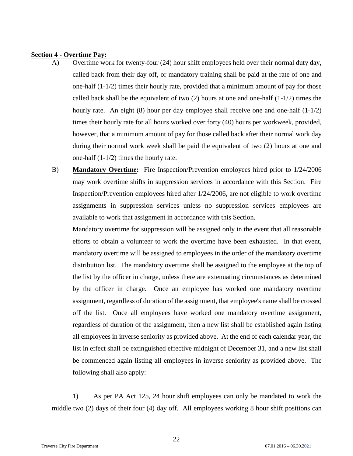## <span id="page-21-0"></span>**Section 4 - Overtime Pay:**

- A) Overtime work for twenty-four (24) hour shift employees held over their normal duty day, called back from their day off, or mandatory training shall be paid at the rate of one and one-half  $(1-1/2)$  times their hourly rate, provided that a minimum amount of pay for those called back shall be the equivalent of two  $(2)$  hours at one and one-half  $(1-1/2)$  times the hourly rate. An eight  $(8)$  hour per day employee shall receive one and one-half  $(1-1/2)$ times their hourly rate for all hours worked over forty (40) hours per workweek, provided, however, that a minimum amount of pay for those called back after their normal work day during their normal work week shall be paid the equivalent of two (2) hours at one and one-half (1-1/2) times the hourly rate.
- B) **Mandatory Overtime:** Fire Inspection/Prevention employees hired prior to 1/24/2006 may work overtime shifts in suppression services in accordance with this Section. Fire Inspection/Prevention employees hired after 1/24/2006, are not eligible to work overtime assignments in suppression services unless no suppression services employees are available to work that assignment in accordance with this Section.

Mandatory overtime for suppression will be assigned only in the event that all reasonable efforts to obtain a volunteer to work the overtime have been exhausted. In that event, mandatory overtime will be assigned to employees in the order of the mandatory overtime distribution list. The mandatory overtime shall be assigned to the employee at the top of the list by the officer in charge, unless there are extenuating circumstances as determined by the officer in charge. Once an employee has worked one mandatory overtime assignment, regardless of duration of the assignment, that employee's name shall be crossed off the list. Once all employees have worked one mandatory overtime assignment, regardless of duration of the assignment, then a new list shall be established again listing all employees in inverse seniority as provided above. At the end of each calendar year, the list in effect shall be extinguished effective midnight of December 31, and a new list shall be commenced again listing all employees in inverse seniority as provided above. The following shall also apply:

1) As per PA Act 125, 24 hour shift employees can only be mandated to work the middle two (2) days of their four (4) day off. All employees working 8 hour shift positions can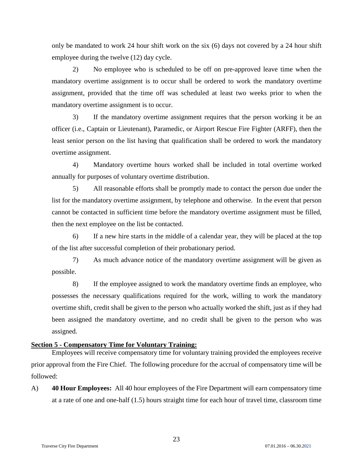only be mandated to work 24 hour shift work on the six (6) days not covered by a 24 hour shift employee during the twelve (12) day cycle.

2) No employee who is scheduled to be off on pre-approved leave time when the mandatory overtime assignment is to occur shall be ordered to work the mandatory overtime assignment, provided that the time off was scheduled at least two weeks prior to when the mandatory overtime assignment is to occur.

3) If the mandatory overtime assignment requires that the person working it be an officer (i.e., Captain or Lieutenant), Paramedic, or Airport Rescue Fire Fighter (ARFF), then the least senior person on the list having that qualification shall be ordered to work the mandatory overtime assignment.

4) Mandatory overtime hours worked shall be included in total overtime worked annually for purposes of voluntary overtime distribution.

5) All reasonable efforts shall be promptly made to contact the person due under the list for the mandatory overtime assignment, by telephone and otherwise. In the event that person cannot be contacted in sufficient time before the mandatory overtime assignment must be filled, then the next employee on the list be contacted.

6) If a new hire starts in the middle of a calendar year, they will be placed at the top of the list after successful completion of their probationary period.

7) As much advance notice of the mandatory overtime assignment will be given as possible.

8) If the employee assigned to work the mandatory overtime finds an employee, who possesses the necessary qualifications required for the work, willing to work the mandatory overtime shift, credit shall be given to the person who actually worked the shift, just as if they had been assigned the mandatory overtime, and no credit shall be given to the person who was assigned.

## <span id="page-22-0"></span>**Section 5 - Compensatory Time for Voluntary Training:**

Employees will receive compensatory time for voluntary training provided the employees receive prior approval from the Fire Chief. The following procedure for the accrual of compensatory time will be followed:

A) **40 Hour Employees:** All 40 hour employees of the Fire Department will earn compensatory time at a rate of one and one-half (1.5) hours straight time for each hour of travel time, classroom time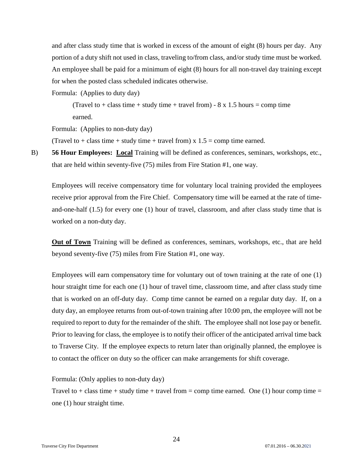and after class study time that is worked in excess of the amount of eight (8) hours per day. Any portion of a duty shift not used in class, traveling to/from class, and/or study time must be worked. An employee shall be paid for a minimum of eight (8) hours for all non-travel day training except for when the posted class scheduled indicates otherwise.

Formula: (Applies to duty day)

(Travel to  $+$  class time  $+$  study time  $+$  travel from)  $-8 \times 1.5$  hours  $=$  comp time earned.

Formula: (Applies to non-duty day)

(Travel to + class time + study time + travel from) x  $1.5 =$  comp time earned.

B) **56 Hour Employees: Local** Training will be defined as conferences, seminars, workshops, etc., that are held within seventy-five (75) miles from Fire Station #1, one way.

Employees will receive compensatory time for voluntary local training provided the employees receive prior approval from the Fire Chief. Compensatory time will be earned at the rate of timeand-one-half (1.5) for every one (1) hour of travel, classroom, and after class study time that is worked on a non-duty day.

**Out of Town** Training will be defined as conferences, seminars, workshops, etc., that are held beyond seventy-five (75) miles from Fire Station #1, one way.

Employees will earn compensatory time for voluntary out of town training at the rate of one (1) hour straight time for each one (1) hour of travel time, classroom time, and after class study time that is worked on an off-duty day. Comp time cannot be earned on a regular duty day. If, on a duty day, an employee returns from out-of-town training after 10:00 pm, the employee will not be required to report to duty for the remainder of the shift. The employee shall not lose pay or benefit. Prior to leaving for class, the employee is to notify their officer of the anticipated arrival time back to Traverse City. If the employee expects to return later than originally planned, the employee is to contact the officer on duty so the officer can make arrangements for shift coverage.

Formula: (Only applies to non-duty day)

Travel to + class time + study time + travel from = comp time earned. One (1) hour comp time = one (1) hour straight time.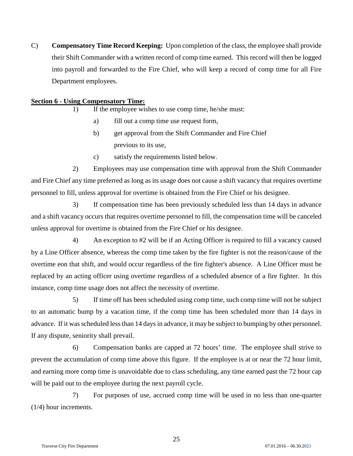C) **Compensatory Time Record Keeping:** Upon completion of the class, the employee shall provide their Shift Commander with a written record of comp time earned. This record will then be logged into payroll and forwarded to the Fire Chief, who will keep a record of comp time for all Fire Department employees.

## <span id="page-24-0"></span>**Section 6 - Using Compensatory Time:**

- 1) If the employee wishes to use comp time, he/she must:
	- a) fill out a comp time use request form,
	- b) get approval from the Shift Commander and Fire Chief previous to its use,
	- c) satisfy the requirements listed below.

2) Employees may use compensation time with approval from the Shift Commander and Fire Chief any time preferred as long as its usage does not cause a shift vacancy that requires overtime personnel to fill, unless approval for overtime is obtained from the Fire Chief or his designee.

3) If compensation time has been previously scheduled less than 14 days in advance and a shift vacancy occurs that requires overtime personnel to fill, the compensation time will be canceled unless approval for overtime is obtained from the Fire Chief or his designee.

4) An exception to #2 will be if an Acting Officer is required to fill a vacancy caused by a Line Officer absence, whereas the comp time taken by the fire fighter is not the reason/cause of the overtime eon that shift, and would occur regardless of the fire fighter's absence. A Line Officer must be replaced by an acting officer using overtime regardless of a scheduled absence of a fire fighter. In this instance, comp time usage does not affect the necessity of overtime.

5) If time off has been scheduled using comp time, such comp time will not be subject to an automatic bump by a vacation time, if the comp time has been scheduled more than 14 days in advance. If it was scheduled less than 14 days in advance, it may be subject to bumping by other personnel. If any dispute, seniority shall prevail.

6) Compensation banks are capped at 72 hours' time. The employee shall strive to prevent the accumulation of comp time above this figure. If the employee is at or near the 72 hour limit, and earning more comp time is unavoidable due to class scheduling, any time earned past the 72 hour cap will be paid out to the employee during the next payroll cycle.

7) For purposes of use, accrued comp time will be used in no less than one-quarter (1/4) hour increments.

25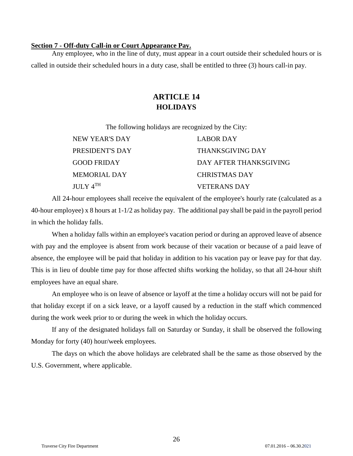## <span id="page-25-0"></span>**Section 7 - Off-duty Call-in or Court Appearance Pay.**

<span id="page-25-2"></span><span id="page-25-1"></span>Any employee, who in the line of duty, must appear in a court outside their scheduled hours or is called in outside their scheduled hours in a duty case, shall be entitled to three (3) hours call-in pay.

# **ARTICLE 14 HOLIDAYS**

The following holidays are recognized by the City:

| NEW YEAR'S DAY       | LABOR DAY               |
|----------------------|-------------------------|
| PRESIDENT'S DAY      | <b>THANKSGIVING DAY</b> |
| <b>GOOD FRIDAY</b>   | DAY AFTER THANKSGIVING  |
| MEMORIAL DAY         | <b>CHRISTMAS DAY</b>    |
| JUIX 4 <sup>TH</sup> | <b>VETERANS DAY</b>     |

All 24-hour employees shall receive the equivalent of the employee's hourly rate (calculated as a 40-hour employee) x 8 hours at 1-1/2 as holiday pay. The additional pay shall be paid in the payroll period in which the holiday falls.

When a holiday falls within an employee's vacation period or during an approved leave of absence with pay and the employee is absent from work because of their vacation or because of a paid leave of absence, the employee will be paid that holiday in addition to his vacation pay or leave pay for that day. This is in lieu of double time pay for those affected shifts working the holiday, so that all 24-hour shift employees have an equal share.

An employee who is on leave of absence or layoff at the time a holiday occurs will not be paid for that holiday except if on a sick leave, or a layoff caused by a reduction in the staff which commenced during the work week prior to or during the week in which the holiday occurs.

If any of the designated holidays fall on Saturday or Sunday, it shall be observed the following Monday for forty (40) hour/week employees.

The days on which the above holidays are celebrated shall be the same as those observed by the U.S. Government, where applicable.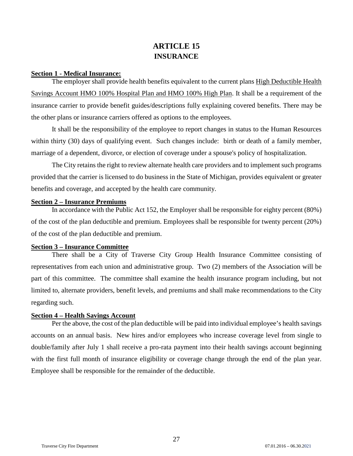# **ARTICLE 15 INSURANCE**

#### <span id="page-26-2"></span><span id="page-26-1"></span><span id="page-26-0"></span>**Section 1 - Medical Insurance:**

The employer shall provide health benefits equivalent to the current plans High Deductible Health Savings Account HMO 100% Hospital Plan and HMO 100% High Plan. It shall be a requirement of the insurance carrier to provide benefit guides/descriptions fully explaining covered benefits. There may be the other plans or insurance carriers offered as options to the employees.

It shall be the responsibility of the employee to report changes in status to the Human Resources within thirty (30) days of qualifying event. Such changes include: birth or death of a family member, marriage of a dependent, divorce, or election of coverage under a spouse's policy of hospitalization.

The City retains the right to review alternate health care providers and to implement such programs provided that the carrier is licensed to do business in the State of Michigan, provides equivalent or greater benefits and coverage, and accepted by the health care community.

#### <span id="page-26-3"></span>**Section 2 – Insurance Premiums**

In accordance with the Public Act 152, the Employer shall be responsible for eighty percent (80%) of the cost of the plan deductible and premium. Employees shall be responsible for twenty percent (20%) of the cost of the plan deductible and premium.

## <span id="page-26-4"></span>**Section 3 – Insurance Committee**

There shall be a City of Traverse City Group Health Insurance Committee consisting of representatives from each union and administrative group. Two (2) members of the Association will be part of this committee. The committee shall examine the health insurance program including, but not limited to, alternate providers, benefit levels, and premiums and shall make recommendations to the City regarding such.

#### <span id="page-26-5"></span>**Section 4 – Health Savings Account**

Per the above, the cost of the plan deductible will be paid into individual employee's health savings accounts on an annual basis. New hires and/or employees who increase coverage level from single to double/family after July 1 shall receive a pro-rata payment into their health savings account beginning with the first full month of insurance eligibility or coverage change through the end of the plan year. Employee shall be responsible for the remainder of the deductible.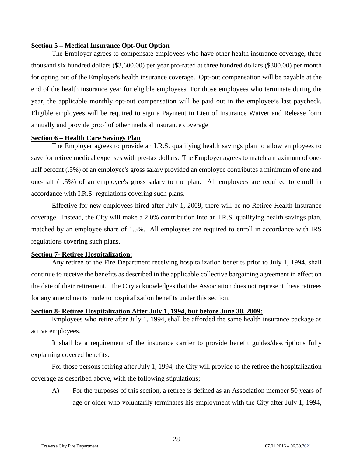## <span id="page-27-0"></span>**Section 5 – Medical Insurance Opt-Out Option**

The Employer agrees to compensate employees who have other health insurance coverage, three thousand six hundred dollars (\$3,600.00) per year pro-rated at three hundred dollars (\$300.00) per month for opting out of the Employer's health insurance coverage. Opt-out compensation will be payable at the end of the health insurance year for eligible employees. For those employees who terminate during the year, the applicable monthly opt-out compensation will be paid out in the employee's last paycheck. Eligible employees will be required to sign a Payment in Lieu of Insurance Waiver and Release form annually and provide proof of other medical insurance coverage

## <span id="page-27-1"></span>**Section 6 – Health Care Savings Plan**

The Employer agrees to provide an I.R.S. qualifying health savings plan to allow employees to save for retiree medical expenses with pre-tax dollars. The Employer agrees to match a maximum of onehalf percent (.5%) of an employee's gross salary provided an employee contributes a minimum of one and one-half (1.5%) of an employee's gross salary to the plan. All employees are required to enroll in accordance with I.R.S. regulations covering such plans.

Effective for new employees hired after July 1, 2009, there will be no Retiree Health Insurance coverage. Instead, the City will make a 2.0% contribution into an I.R.S. qualifying health savings plan, matched by an employee share of 1.5%. All employees are required to enroll in accordance with IRS regulations covering such plans.

## <span id="page-27-2"></span>**Section 7- Retiree Hospitalization:**

Any retiree of the Fire Department receiving hospitalization benefits prior to July 1, 1994, shall continue to receive the benefits as described in the applicable collective bargaining agreement in effect on the date of their retirement. The City acknowledges that the Association does not represent these retirees for any amendments made to hospitalization benefits under this section.

## <span id="page-27-3"></span>**Section 8- Retiree Hospitalization After July 1, 1994, but before June 30, 2009:**

Employees who retire after July 1, 1994, shall be afforded the same health insurance package as active employees.

It shall be a requirement of the insurance carrier to provide benefit guides/descriptions fully explaining covered benefits.

For those persons retiring after July 1, 1994, the City will provide to the retiree the hospitalization coverage as described above, with the following stipulations;

A) For the purposes of this section, a retiree is defined as an Association member 50 years of age or older who voluntarily terminates his employment with the City after July 1, 1994,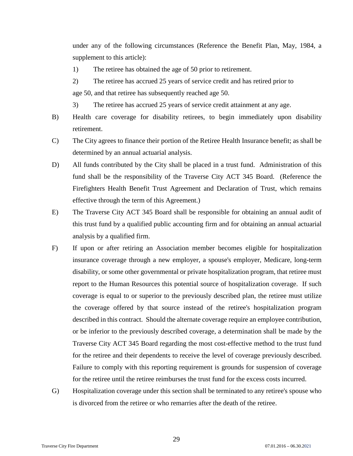under any of the following circumstances (Reference the Benefit Plan, May, 1984, a supplement to this article):

- 1) The retiree has obtained the age of 50 prior to retirement.
- 2) The retiree has accrued 25 years of service credit and has retired prior to age 50, and that retiree has subsequently reached age 50.
- 3) The retiree has accrued 25 years of service credit attainment at any age.
- B) Health care coverage for disability retirees, to begin immediately upon disability retirement.
- C) The City agrees to finance their portion of the Retiree Health Insurance benefit; as shall be determined by an annual actuarial analysis.
- D) All funds contributed by the City shall be placed in a trust fund. Administration of this fund shall be the responsibility of the Traverse City ACT 345 Board. (Reference the Firefighters Health Benefit Trust Agreement and Declaration of Trust, which remains effective through the term of this Agreement.)
- E) The Traverse City ACT 345 Board shall be responsible for obtaining an annual audit of this trust fund by a qualified public accounting firm and for obtaining an annual actuarial analysis by a qualified firm.
- F) If upon or after retiring an Association member becomes eligible for hospitalization insurance coverage through a new employer, a spouse's employer, Medicare, long-term disability, or some other governmental or private hospitalization program, that retiree must report to the Human Resources this potential source of hospitalization coverage. If such coverage is equal to or superior to the previously described plan, the retiree must utilize the coverage offered by that source instead of the retiree's hospitalization program described in this contract. Should the alternate coverage require an employee contribution, or be inferior to the previously described coverage, a determination shall be made by the Traverse City ACT 345 Board regarding the most cost-effective method to the trust fund for the retiree and their dependents to receive the level of coverage previously described. Failure to comply with this reporting requirement is grounds for suspension of coverage for the retiree until the retiree reimburses the trust fund for the excess costs incurred.
- G) Hospitalization coverage under this section shall be terminated to any retiree's spouse who is divorced from the retiree or who remarries after the death of the retiree.

29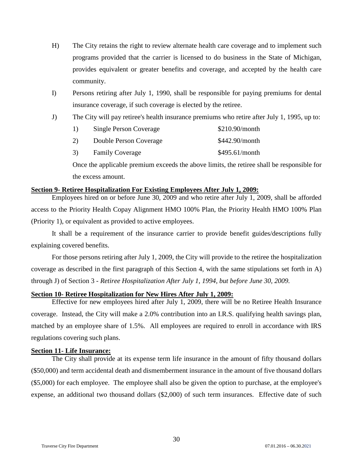- H) The City retains the right to review alternate health care coverage and to implement such programs provided that the carrier is licensed to do business in the State of Michigan, provides equivalent or greater benefits and coverage, and accepted by the health care community.
- I) Persons retiring after July 1, 1990, shall be responsible for paying premiums for dental insurance coverage, if such coverage is elected by the retiree.
- J) The City will pay retiree's health insurance premiums who retire after July 1, 1995, up to:

| <sup>1</sup> | <b>Single Person Coverage</b> | \$210.90/month |
|--------------|-------------------------------|----------------|
| 2)           | Double Person Coverage        | \$442.90/month |
| 3)           | <b>Family Coverage</b>        | \$495.61/month |

Once the applicable premium exceeds the above limits, the retiree shall be responsible for the excess amount.

## <span id="page-29-0"></span>**Section 9- Retiree Hospitalization For Existing Employees After July 1, 2009:**

Employees hired on or before June 30, 2009 and who retire after July 1, 2009, shall be afforded access to the Priority Health Copay Alignment HMO 100% Plan, the Priority Health HMO 100% Plan (Priority 1), or equivalent as provided to active employees.

It shall be a requirement of the insurance carrier to provide benefit guides/descriptions fully explaining covered benefits.

For those persons retiring after July 1, 2009, the City will provide to the retiree the hospitalization coverage as described in the first paragraph of this Section 4, with the same stipulations set forth in A) through J) of Section 3 - *Retiree Hospitalization After July 1, 1994, but before June 30, 2009.*

## <span id="page-29-1"></span>**Section 10- Retiree Hospitalization for New Hires After July 1, 2009:**

Effective for new employees hired after July 1, 2009, there will be no Retiree Health Insurance coverage. Instead, the City will make a 2.0% contribution into an I.R.S. qualifying health savings plan, matched by an employee share of 1.5%. All employees are required to enroll in accordance with IRS regulations covering such plans.

## <span id="page-29-2"></span>**Section 11- Life Insurance:**

The City shall provide at its expense term life insurance in the amount of fifty thousand dollars (\$50,000) and term accidental death and dismemberment insurance in the amount of five thousand dollars (\$5,000) for each employee. The employee shall also be given the option to purchase, at the employee's expense, an additional two thousand dollars (\$2,000) of such term insurances. Effective date of such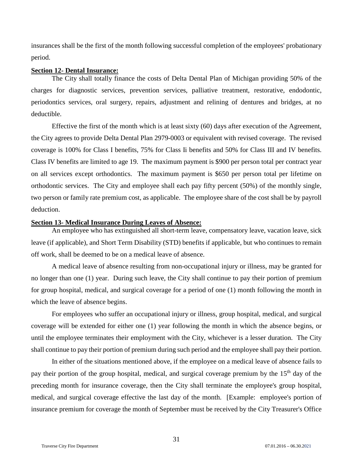insurances shall be the first of the month following successful completion of the employees' probationary period.

## <span id="page-30-0"></span>**Section 12- Dental Insurance:**

The City shall totally finance the costs of Delta Dental Plan of Michigan providing 50% of the charges for diagnostic services, prevention services, palliative treatment, restorative, endodontic, periodontics services, oral surgery, repairs, adjustment and relining of dentures and bridges, at no deductible.

Effective the first of the month which is at least sixty (60) days after execution of the Agreement, the City agrees to provide Delta Dental Plan 2979-0003 or equivalent with revised coverage. The revised coverage is 100% for Class I benefits, 75% for Class Ii benefits and 50% for Class III and IV benefits. Class IV benefits are limited to age 19. The maximum payment is \$900 per person total per contract year on all services except orthodontics. The maximum payment is \$650 per person total per lifetime on orthodontic services. The City and employee shall each pay fifty percent (50%) of the monthly single, two person or family rate premium cost, as applicable. The employee share of the cost shall be by payroll deduction.

## <span id="page-30-1"></span>**Section 13- Medical Insurance During Leaves of Absence:**

An employee who has extinguished all short-term leave, compensatory leave, vacation leave, sick leave (if applicable), and Short Term Disability (STD) benefits if applicable, but who continues to remain off work, shall be deemed to be on a medical leave of absence.

A medical leave of absence resulting from non-occupational injury or illness, may be granted for no longer than one (1) year. During such leave, the City shall continue to pay their portion of premium for group hospital, medical, and surgical coverage for a period of one (1) month following the month in which the leave of absence begins.

For employees who suffer an occupational injury or illness, group hospital, medical, and surgical coverage will be extended for either one (1) year following the month in which the absence begins, or until the employee terminates their employment with the City, whichever is a lesser duration. The City shall continue to pay their portion of premium during such period and the employee shall pay their portion.

In either of the situations mentioned above, if the employee on a medical leave of absence fails to pay their portion of the group hospital, medical, and surgical coverage premium by the 15<sup>th</sup> day of the preceding month for insurance coverage, then the City shall terminate the employee's group hospital, medical, and surgical coverage effective the last day of the month. [Example: employee's portion of insurance premium for coverage the month of September must be received by the City Treasurer's Office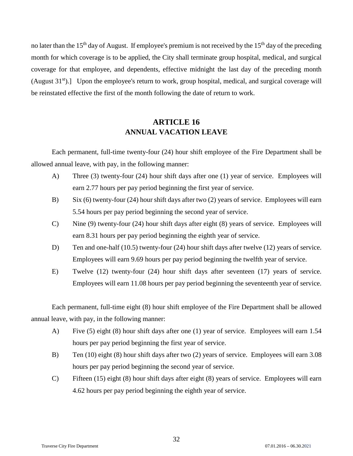no later than the 15<sup>th</sup> day of August. If employee's premium is not received by the 15<sup>th</sup> day of the preceding month for which coverage is to be applied, the City shall terminate group hospital, medical, and surgical coverage for that employee, and dependents, effective midnight the last day of the preceding month (August  $31<sup>st</sup>$ ).] Upon the employee's return to work, group hospital, medical, and surgical coverage will be reinstated effective the first of the month following the date of return to work.

# **ARTICLE 16 ANNUAL VACATION LEAVE**

<span id="page-31-1"></span><span id="page-31-0"></span>Each permanent, full-time twenty-four (24) hour shift employee of the Fire Department shall be allowed annual leave, with pay, in the following manner:

- A) Three (3) twenty-four (24) hour shift days after one (1) year of service. Employees will earn 2.77 hours per pay period beginning the first year of service.
- B) Six (6) twenty-four (24) hour shift days after two (2) years of service. Employees will earn 5.54 hours per pay period beginning the second year of service.
- C) Nine (9) twenty-four (24) hour shift days after eight (8) years of service. Employees will earn 8.31 hours per pay period beginning the eighth year of service.
- D) Ten and one-half (10.5) twenty-four (24) hour shift days after twelve (12) years of service. Employees will earn 9.69 hours per pay period beginning the twelfth year of service.
- E) Twelve (12) twenty-four (24) hour shift days after seventeen (17) years of service. Employees will earn 11.08 hours per pay period beginning the seventeenth year of service.

Each permanent, full-time eight (8) hour shift employee of the Fire Department shall be allowed annual leave, with pay, in the following manner:

- A) Five (5) eight (8) hour shift days after one (1) year of service. Employees will earn 1.54 hours per pay period beginning the first year of service.
- B) Ten (10) eight (8) hour shift days after two (2) years of service. Employees will earn 3.08 hours per pay period beginning the second year of service.
- C) Fifteen (15) eight (8) hour shift days after eight (8) years of service. Employees will earn 4.62 hours per pay period beginning the eighth year of service.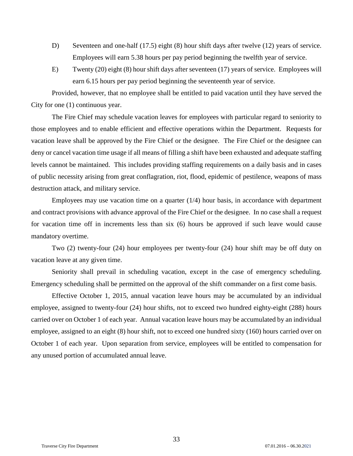- D) Seventeen and one-half (17.5) eight (8) hour shift days after twelve (12) years of service. Employees will earn 5.38 hours per pay period beginning the twelfth year of service.
- E) Twenty (20) eight (8) hour shift days after seventeen (17) years of service. Employees will earn 6.15 hours per pay period beginning the seventeenth year of service.

Provided, however, that no employee shall be entitled to paid vacation until they have served the City for one (1) continuous year.

The Fire Chief may schedule vacation leaves for employees with particular regard to seniority to those employees and to enable efficient and effective operations within the Department. Requests for vacation leave shall be approved by the Fire Chief or the designee. The Fire Chief or the designee can deny or cancel vacation time usage if all means of filling a shift have been exhausted and adequate staffing levels cannot be maintained. This includes providing staffing requirements on a daily basis and in cases of public necessity arising from great conflagration, riot, flood, epidemic of pestilence, weapons of mass destruction attack, and military service.

Employees may use vacation time on a quarter  $(1/4)$  hour basis, in accordance with department and contract provisions with advance approval of the Fire Chief or the designee. In no case shall a request for vacation time off in increments less than six (6) hours be approved if such leave would cause mandatory overtime.

Two (2) twenty-four (24) hour employees per twenty-four (24) hour shift may be off duty on vacation leave at any given time.

Seniority shall prevail in scheduling vacation, except in the case of emergency scheduling. Emergency scheduling shall be permitted on the approval of the shift commander on a first come basis.

Effective October 1, 2015, annual vacation leave hours may be accumulated by an individual employee, assigned to twenty-four (24) hour shifts, not to exceed two hundred eighty-eight (288) hours carried over on October 1 of each year. Annual vacation leave hours may be accumulated by an individual employee, assigned to an eight (8) hour shift, not to exceed one hundred sixty (160) hours carried over on October 1 of each year. Upon separation from service, employees will be entitled to compensation for any unused portion of accumulated annual leave.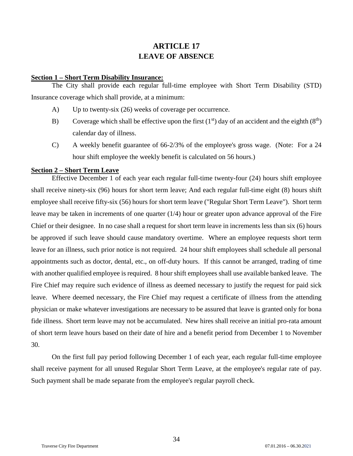# **ARTICLE 17 LEAVE OF ABSENCE**

#### <span id="page-33-2"></span><span id="page-33-1"></span><span id="page-33-0"></span>**Section 1 – Short Term Disability Insurance:**

The City shall provide each regular full-time employee with Short Term Disability (STD) Insurance coverage which shall provide, at a minimum:

- A) Up to twenty-six (26) weeks of coverage per occurrence.
- B) Coverage which shall be effective upon the first  $(1<sup>st</sup>)$  day of an accident and the eighth  $(8<sup>th</sup>)$ calendar day of illness.
- C) A weekly benefit guarantee of 66-2/3% of the employee's gross wage. (Note: For a 24 hour shift employee the weekly benefit is calculated on 56 hours.)

## <span id="page-33-3"></span>**Section 2 – Short Term Leave**

Effective December 1 of each year each regular full-time twenty-four (24) hours shift employee shall receive ninety-six (96) hours for short term leave; And each regular full-time eight (8) hours shift employee shall receive fifty-six (56) hours for short term leave ("Regular Short Term Leave"). Short term leave may be taken in increments of one quarter (1/4) hour or greater upon advance approval of the Fire Chief or their designee. In no case shall a request for short term leave in increments less than six (6) hours be approved if such leave should cause mandatory overtime. Where an employee requests short term leave for an illness, such prior notice is not required. 24 hour shift employees shall schedule all personal appointments such as doctor, dental, etc., on off-duty hours. If this cannot be arranged, trading of time with another qualified employee is required. 8 hour shift employees shall use available banked leave. The Fire Chief may require such evidence of illness as deemed necessary to justify the request for paid sick leave. Where deemed necessary, the Fire Chief may request a certificate of illness from the attending physician or make whatever investigations are necessary to be assured that leave is granted only for bona fide illness. Short term leave may not be accumulated. New hires shall receive an initial pro-rata amount of short term leave hours based on their date of hire and a benefit period from December 1 to November 30.

On the first full pay period following December 1 of each year, each regular full-time employee shall receive payment for all unused Regular Short Term Leave, at the employee's regular rate of pay. Such payment shall be made separate from the employee's regular payroll check.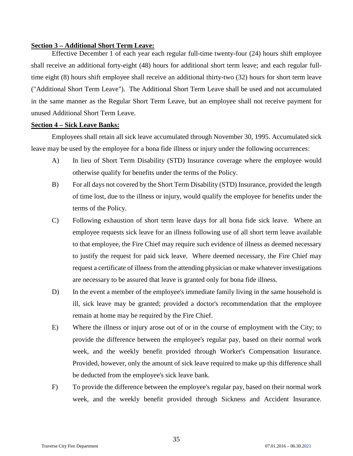## <span id="page-34-0"></span>**Section 3 – Additional Short Term Leave:**

Effective December 1 of each year each regular full-time twenty-four (24) hours shift employee shall receive an additional forty-eight (48) hours for additional short term leave; and each regular fulltime eight (8) hours shift employee shall receive an additional thirty-two (32) hours for short term leave ("Additional Short Term Leave"). The Additional Short Term Leave shall be used and not accumulated in the same manner as the Regular Short Term Leave, but an employee shall not receive payment for unused Additional Short Term Leave.

## **Section 4 – Sick Leave Banks:**

Employees shall retain all sick leave accumulated through November 30, 1995. Accumulated sick leave may be used by the employee for a bona fide illness or injury under the following occurrences:

- A) In lieu of Short Term Disability (STD) Insurance coverage where the employee would otherwise qualify for benefits under the terms of the Policy.
- B) For all days not covered by the Short Term Disability (STD) Insurance, provided the length of time lost, due to the illness or injury, would qualify the employee for benefits under the terms of the Policy.
- C) Following exhaustion of short term leave days for all bona fide sick leave. Where an employee requests sick leave for an illness following use of all short term leave available to that employee, the Fire Chief may require such evidence of illness as deemed necessary to justify the request for paid sick leave. Where deemed necessary, the Fire Chief may request a certificate of illness from the attending physician or make whatever investigations are necessary to be assured that leave is granted only for bona fide illness.
- D) In the event a member of the employee's immediate family living in the same household is ill, sick leave may be granted; provided a doctor's recommendation that the employee remain at home may be required by the Fire Chief.
- E) Where the illness or injury arose out of or in the course of employment with the City; to provide the difference between the employee's regular pay, based on their normal work week, and the weekly benefit provided through Worker's Compensation Insurance. Provided, however, only the amount of sick leave required to make up this difference shall be deducted from the employee's sick leave bank.
- F) To provide the difference between the employee's regular pay, based on their normal work week, and the weekly benefit provided through Sickness and Accident Insurance.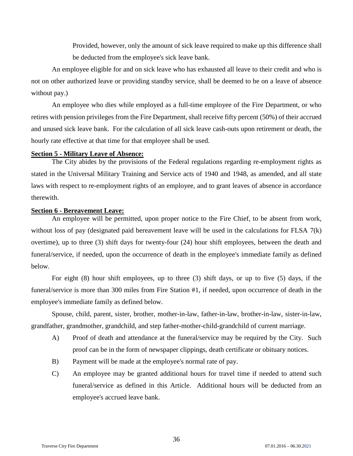Provided, however, only the amount of sick leave required to make up this difference shall be deducted from the employee's sick leave bank.

An employee eligible for and on sick leave who has exhausted all leave to their credit and who is not on other authorized leave or providing standby service, shall be deemed to be on a leave of absence without pay.)

An employee who dies while employed as a full-time employee of the Fire Department, or who retires with pension privileges from the Fire Department, shall receive fifty percent (50%) of their accrued and unused sick leave bank. For the calculation of all sick leave cash-outs upon retirement or death, the hourly rate effective at that time for that employee shall be used.

#### <span id="page-35-0"></span>**Section 5 - Military Leave of Absence:**

The City abides by the provisions of the Federal regulations regarding re-employment rights as stated in the Universal Military Training and Service acts of 1940 and 1948, as amended, and all state laws with respect to re-employment rights of an employee, and to grant leaves of absence in accordance therewith.

### <span id="page-35-1"></span>**Section 6 - Bereavement Leave:**

An employee will be permitted, upon proper notice to the Fire Chief, to be absent from work, without loss of pay (designated paid bereavement leave will be used in the calculations for FLSA 7(k) overtime), up to three (3) shift days for twenty-four (24) hour shift employees, between the death and funeral/service, if needed, upon the occurrence of death in the employee's immediate family as defined below.

For eight (8) hour shift employees, up to three (3) shift days, or up to five (5) days, if the funeral/service is more than 300 miles from Fire Station #1, if needed, upon occurrence of death in the employee's immediate family as defined below.

Spouse, child, parent, sister, brother, mother-in-law, father-in-law, brother-in-law, sister-in-law, grandfather, grandmother, grandchild, and step father-mother-child-grandchild of current marriage.

- A) Proof of death and attendance at the funeral/service may be required by the City. Such proof can be in the form of newspaper clippings, death certificate or obituary notices.
- B) Payment will be made at the employee's normal rate of pay.
- C) An employee may be granted additional hours for travel time if needed to attend such funeral/service as defined in this Article. Additional hours will be deducted from an employee's accrued leave bank.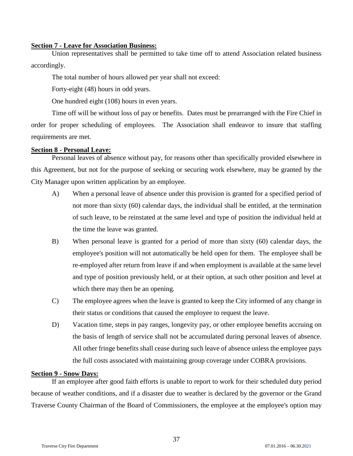## <span id="page-36-0"></span>**Section 7 - Leave for Association Business:**

Union representatives shall be permitted to take time off to attend Association related business accordingly.

The total number of hours allowed per year shall not exceed:

Forty-eight (48) hours in odd years.

One hundred eight (108) hours in even years.

Time off will be without loss of pay or benefits. Dates must be prearranged with the Fire Chief in order for proper scheduling of employees. The Association shall endeavor to insure that staffing requirements are met.

## <span id="page-36-1"></span>**Section 8 - Personal Leave:**

Personal leaves of absence without pay, for reasons other than specifically provided elsewhere in this Agreement, but not for the purpose of seeking or securing work elsewhere, may be granted by the City Manager upon written application by an employee.

- A) When a personal leave of absence under this provision is granted for a specified period of not more than sixty (60) calendar days, the individual shall be entitled, at the termination of such leave, to be reinstated at the same level and type of position the individual held at the time the leave was granted.
- B) When personal leave is granted for a period of more than sixty (60) calendar days, the employee's position will not automatically be held open for them. The employee shall be re-employed after return from leave if and when employment is available at the same level and type of position previously held, or at their option, at such other position and level at which there may then be an opening.
- C) The employee agrees when the leave is granted to keep the City informed of any change in their status or conditions that caused the employee to request the leave.
- D) Vacation time, steps in pay ranges, longevity pay, or other employee benefits accruing on the basis of length of service shall not be accumulated during personal leaves of absence. All other fringe benefits shall cease during such leave of absence unless the employee pays the full costs associated with maintaining group coverage under COBRA provisions.

## <span id="page-36-2"></span>**Section 9 - Snow Days:**

If an employee after good faith efforts is unable to report to work for their scheduled duty period because of weather conditions, and if a disaster due to weather is declared by the governor or the Grand Traverse County Chairman of the Board of Commissioners, the employee at the employee's option may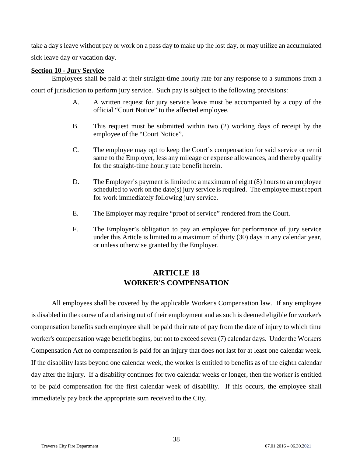take a day's leave without pay or work on a pass day to make up the lost day, or may utilize an accumulated sick leave day or vacation day.

## <span id="page-37-0"></span>**Section 10 - Jury Service**

Employees shall be paid at their straight-time hourly rate for any response to a summons from a court of jurisdiction to perform jury service. Such pay is subject to the following provisions:

- A. A written request for jury service leave must be accompanied by a copy of the official "Court Notice" to the affected employee.
- B. This request must be submitted within two (2) working days of receipt by the employee of the "Court Notice".
- C. The employee may opt to keep the Court's compensation for said service or remit same to the Employer, less any mileage or expense allowances, and thereby qualify for the straight-time hourly rate benefit herein.
- D. The Employer's payment is limited to a maximum of eight (8) hours to an employee scheduled to work on the date(s) jury service is required. The employee must report for work immediately following jury service.
- E. The Employer may require "proof of service" rendered from the Court.
- F. The Employer's obligation to pay an employee for performance of jury service under this Article is limited to a maximum of thirty (30) days in any calendar year, or unless otherwise granted by the Employer.

# **ARTICLE 18 WORKER'S COMPENSATION**

<span id="page-37-2"></span><span id="page-37-1"></span>All employees shall be covered by the applicable Worker's Compensation law. If any employee is disabled in the course of and arising out of their employment and as such is deemed eligible for worker's compensation benefits such employee shall be paid their rate of pay from the date of injury to which time worker's compensation wage benefit begins, but not to exceed seven (7) calendar days. Under the Workers Compensation Act no compensation is paid for an injury that does not last for at least one calendar week. If the disability lasts beyond one calendar week, the worker is entitled to benefits as of the eighth calendar day after the injury. If a disability continues for two calendar weeks or longer, then the worker is entitled to be paid compensation for the first calendar week of disability. If this occurs, the employee shall immediately pay back the appropriate sum received to the City.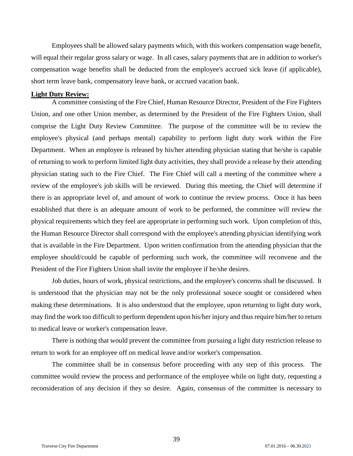Employees shall be allowed salary payments which, with this workers compensation wage benefit, will equal their regular gross salary or wage. In all cases, salary payments that are in addition to worker's compensation wage benefits shall be deducted from the employee's accrued sick leave (if applicable), short term leave bank, compensatory leave bank, or accrued vacation bank.

#### <span id="page-38-0"></span>**Light Duty Review:**

A committee consisting of the Fire Chief, Human Resource Director, President of the Fire Fighters Union, and one other Union member, as determined by the President of the Fire Fighters Union, shall comprise the Light Duty Review Committee. The purpose of the committee will be to review the employee's physical (and perhaps mental) capability to perform light duty work within the Fire Department. When an employee is released by his/her attending physician stating that he/she is capable of returning to work to perform limited light duty activities, they shall provide a release by their attending physician stating such to the Fire Chief. The Fire Chief will call a meeting of the committee where a review of the employee's job skills will be reviewed. During this meeting, the Chief will determine if there is an appropriate level of, and amount of work to continue the review process. Once it has been established that there is an adequate amount of work to be performed, the committee will review the physical requirements which they feel are appropriate in performing such work. Upon completion of this, the Human Resource Director shall correspond with the employee's attending physician identifying work that is available in the Fire Department. Upon written confirmation from the attending physician that the employee should/could be capable of performing such work, the committee will reconvene and the President of the Fire Fighters Union shall invite the employee if he/she desires.

Job duties, hours of work, physical restrictions, and the employee's concerns shall be discussed. It is understood that the physician may not be the only professional source sought or considered when making these determinations. It is also understood that the employee, upon returning to light duty work, may find the work too difficult to perform dependent upon his/her injury and thus require him/her to return to medical leave or worker's compensation leave.

There is nothing that would prevent the committee from pursuing a light duty restriction release to return to work for an employee off on medical leave and/or worker's compensation.

The committee shall be in consensus before proceeding with any step of this process. The committee would review the process and performance of the employee while on light duty, requesting a reconsideration of any decision if they so desire. Again, consensus of the committee is necessary to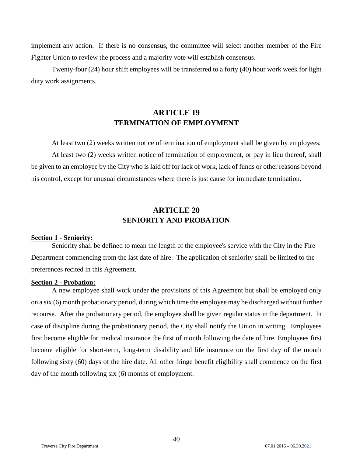implement any action. If there is no consensus, the committee will select another member of the Fire Fighter Union to review the process and a majority vote will establish consensus.

<span id="page-39-0"></span>Twenty-four (24) hour shift employees will be transferred to a forty (40) hour work week for light duty work assignments.

# **ARTICLE 19 TERMINATION OF EMPLOYMENT**

<span id="page-39-1"></span>At least two (2) weeks written notice of termination of employment shall be given by employees. At least two (2) weeks written notice of termination of employment, or pay in lieu thereof, shall be given to an employee by the City who is laid off for lack of work, lack of funds or other reasons beyond his control, except for unusual circumstances where there is just cause for immediate termination.

# **ARTICLE 20 SENIORITY AND PROBATION**

#### <span id="page-39-4"></span><span id="page-39-3"></span><span id="page-39-2"></span>**Section 1 - Seniority:**

Seniority shall be defined to mean the length of the employee's service with the City in the Fire Department commencing from the last date of hire. The application of seniority shall be limited to the preferences recited in this Agreement.

#### <span id="page-39-5"></span>**Section 2 - Probation:**

A new employee shall work under the provisions of this Agreement but shall be employed only on a six (6) month probationary period, during which time the employee may be discharged without further recourse. After the probationary period, the employee shall be given regular status in the department. In case of discipline during the probationary period, the City shall notify the Union in writing. Employees first become eligible for medical insurance the first of month following the date of hire. Employees first become eligible for short-term, long-term disability and life insurance on the first day of the month following sixty (60) days of the hire date. All other fringe benefit eligibility shall commence on the first day of the month following six (6) months of employment.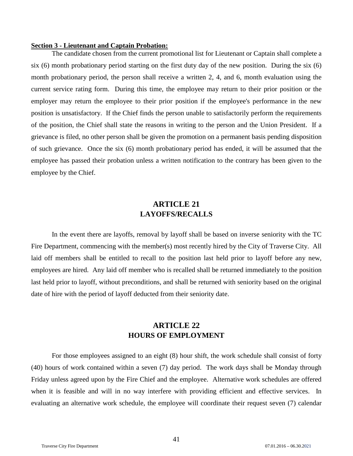#### <span id="page-40-0"></span>**Section 3 - Lieutenant and Captain Probation:**

The candidate chosen from the current promotional list for Lieutenant or Captain shall complete a six (6) month probationary period starting on the first duty day of the new position. During the six (6) month probationary period, the person shall receive a written 2, 4, and 6, month evaluation using the current service rating form. During this time, the employee may return to their prior position or the employer may return the employee to their prior position if the employee's performance in the new position is unsatisfactory. If the Chief finds the person unable to satisfactorily perform the requirements of the position, the Chief shall state the reasons in writing to the person and the Union President. If a grievance is filed, no other person shall be given the promotion on a permanent basis pending disposition of such grievance. Once the six (6) month probationary period has ended, it will be assumed that the employee has passed their probation unless a written notification to the contrary has been given to the employee by the Chief.

# **ARTICLE 21 LAYOFFS/RECALLS**

<span id="page-40-2"></span><span id="page-40-1"></span>In the event there are layoffs, removal by layoff shall be based on inverse seniority with the TC Fire Department, commencing with the member(s) most recently hired by the City of Traverse City. All laid off members shall be entitled to recall to the position last held prior to layoff before any new, employees are hired. Any laid off member who is recalled shall be returned immediately to the position last held prior to layoff, without preconditions, and shall be returned with seniority based on the original date of hire with the period of layoff deducted from their seniority date.

# **ARTICLE 22 HOURS OF EMPLOYMENT**

<span id="page-40-4"></span><span id="page-40-3"></span>For those employees assigned to an eight (8) hour shift, the work schedule shall consist of forty (40) hours of work contained within a seven (7) day period. The work days shall be Monday through Friday unless agreed upon by the Fire Chief and the employee. Alternative work schedules are offered when it is feasible and will in no way interfere with providing efficient and effective services. In evaluating an alternative work schedule, the employee will coordinate their request seven (7) calendar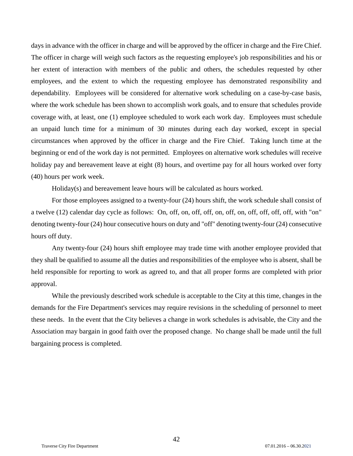days in advance with the officer in charge and will be approved by the officer in charge and the Fire Chief. The officer in charge will weigh such factors as the requesting employee's job responsibilities and his or her extent of interaction with members of the public and others, the schedules requested by other employees, and the extent to which the requesting employee has demonstrated responsibility and dependability. Employees will be considered for alternative work scheduling on a case-by-case basis, where the work schedule has been shown to accomplish work goals, and to ensure that schedules provide coverage with, at least, one (1) employee scheduled to work each work day. Employees must schedule an unpaid lunch time for a minimum of 30 minutes during each day worked, except in special circumstances when approved by the officer in charge and the Fire Chief. Taking lunch time at the beginning or end of the work day is not permitted. Employees on alternative work schedules will receive holiday pay and bereavement leave at eight (8) hours, and overtime pay for all hours worked over forty (40) hours per work week.

Holiday(s) and bereavement leave hours will be calculated as hours worked.

For those employees assigned to a twenty-four (24) hours shift, the work schedule shall consist of a twelve (12) calendar day cycle as follows: On, off, on, off, off, on, off, on, off, off, off, off, with "on" denoting twenty-four (24) hour consecutive hours on duty and "off" denoting twenty-four (24) consecutive hours off duty.

Any twenty-four (24) hours shift employee may trade time with another employee provided that they shall be qualified to assume all the duties and responsibilities of the employee who is absent, shall be held responsible for reporting to work as agreed to, and that all proper forms are completed with prior approval.

While the previously described work schedule is acceptable to the City at this time, changes in the demands for the Fire Department's services may require revisions in the scheduling of personnel to meet these needs. In the event that the City believes a change in work schedules is advisable, the City and the Association may bargain in good faith over the proposed change. No change shall be made until the full bargaining process is completed.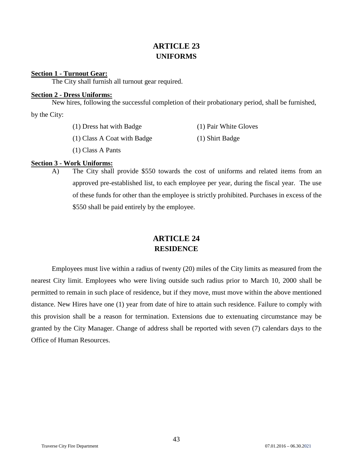# **ARTICLE 23 UNIFORMS**

## <span id="page-42-2"></span><span id="page-42-1"></span><span id="page-42-0"></span>**Section 1 - Turnout Gear:**

The City shall furnish all turnout gear required.

## <span id="page-42-3"></span>**Section 2 - Dress Uniforms:**

New hires, following the successful completion of their probationary period, shall be furnished,

by the City:

| (1) Dress hat with Badge    | (1) Pair White Gloves |
|-----------------------------|-----------------------|
| (1) Class A Coat with Badge | (1) Shirt Badge       |

(1) Class A Pants

## <span id="page-42-4"></span>**Section 3 - Work Uniforms:**

A) The City shall provide \$550 towards the cost of uniforms and related items from an approved pre-established list, to each employee per year, during the fiscal year. The use of these funds for other than the employee is strictly prohibited. Purchases in excess of the \$550 shall be paid entirely by the employee.

# **ARTICLE 24 RESIDENCE**

<span id="page-42-6"></span><span id="page-42-5"></span>Employees must live within a radius of twenty (20) miles of the City limits as measured from the nearest City limit. Employees who were living outside such radius prior to March 10, 2000 shall be permitted to remain in such place of residence, but if they move, must move within the above mentioned distance. New Hires have one (1) year from date of hire to attain such residence. Failure to comply with this provision shall be a reason for termination. Extensions due to extenuating circumstance may be granted by the City Manager. Change of address shall be reported with seven (7) calendars days to the Office of Human Resources.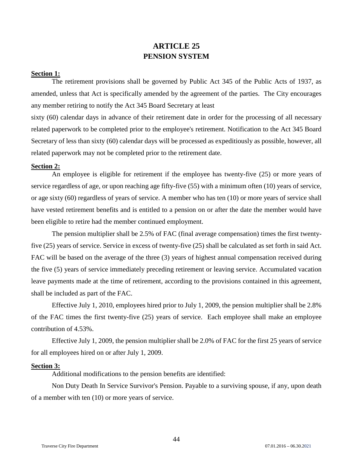# **ARTICLE 25 PENSION SYSTEM**

## <span id="page-43-2"></span><span id="page-43-1"></span><span id="page-43-0"></span>**Section 1:**

The retirement provisions shall be governed by Public Act 345 of the Public Acts of 1937, as amended, unless that Act is specifically amended by the agreement of the parties. The City encourages any member retiring to notify the Act 345 Board Secretary at least

sixty (60) calendar days in advance of their retirement date in order for the processing of all necessary related paperwork to be completed prior to the employee's retirement. Notification to the Act 345 Board Secretary of less than sixty (60) calendar days will be processed as expeditiously as possible, however, all related paperwork may not be completed prior to the retirement date.

## <span id="page-43-3"></span>**Section 2:**

An employee is eligible for retirement if the employee has twenty-five (25) or more years of service regardless of age, or upon reaching age fifty-five (55) with a minimum often (10) years of service, or age sixty (60) regardless of years of service. A member who has ten (10) or more years of service shall have vested retirement benefits and is entitled to a pension on or after the date the member would have been eligible to retire had the member continued employment.

The pension multiplier shall be 2.5% of FAC (final average compensation) times the first twentyfive (25) years of service. Service in excess of twenty-five (25) shall be calculated as set forth in said Act. FAC will be based on the average of the three (3) years of highest annual compensation received during the five (5) years of service immediately preceding retirement or leaving service. Accumulated vacation leave payments made at the time of retirement, according to the provisions contained in this agreement, shall be included as part of the FAC.

Effective July 1, 2010, employees hired prior to July 1, 2009, the pension multiplier shall be 2.8% of the FAC times the first twenty-five (25) years of service. Each employee shall make an employee contribution of 4.53%.

Effective July 1, 2009, the pension multiplier shall be 2.0% of FAC for the first 25 years of service for all employees hired on or after July 1, 2009.

#### <span id="page-43-4"></span>**Section 3:**

Additional modifications to the pension benefits are identified:

Non Duty Death In Service Survivor's Pension. Payable to a surviving spouse, if any, upon death of a member with ten (10) or more years of service.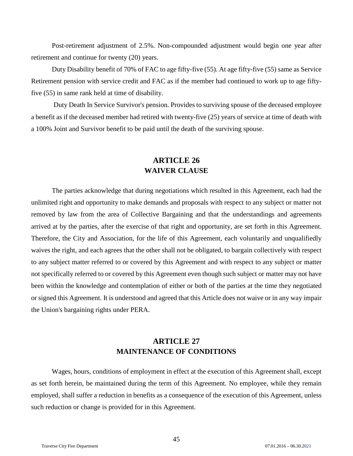Post-retirement adjustment of 2.5%. Non-compounded adjustment would begin one year after retirement and continue for twenty (20) years.

Duty Disability benefit of 70% of FAC to age fifty-five (55). At age fifty-five (55) same as Service Retirement pension with service credit and FAC as if the member had continued to work up to age fiftyfive (55) in same rank held at time of disability.

Duty Death In Service Survivor's pension. Provides to surviving spouse of the deceased employee a benefit as if the deceased member had retired with twenty-five (25) years of service at time of death with a 100% Joint and Survivor benefit to be paid until the death of the surviving spouse.

# **ARTICLE 26 WAIVER CLAUSE**

<span id="page-44-1"></span><span id="page-44-0"></span>The parties acknowledge that during negotiations which resulted in this Agreement, each had the unlimited right and opportunity to make demands and proposals with respect to any subject or matter not removed by law from the area of Collective Bargaining and that the understandings and agreements arrived at by the parties, after the exercise of that right and opportunity, are set forth in this Agreement. Therefore, the City and Association, for the life of this Agreement, each voluntarily and unqualifiedly waives the right, and each agrees that the other shall not be obligated, to bargain collectively with respect to any subject matter referred to or covered by this Agreement and with respect to any subject or matter not specifically referred to or covered by this Agreement even though such subject or matter may not have been within the knowledge and contemplation of either or both of the parties at the time they negotiated or signed this Agreement. It is understood and agreed that this Article does not waive or in any way impair the Union's bargaining rights under PERA.

# **ARTICLE 27 MAINTENANCE OF CONDITIONS**

<span id="page-44-3"></span><span id="page-44-2"></span>Wages, hours, conditions of employment in effect at the execution of this Agreement shall, except as set forth herein, be maintained during the term of this Agreement. No employee, while they remain employed, shall suffer a reduction in benefits as a consequence of the execution of this Agreement, unless such reduction or change is provided for in this Agreement.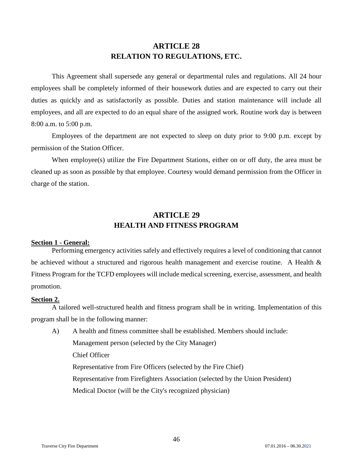# **ARTICLE 28 RELATION TO REGULATIONS, ETC.**

<span id="page-45-1"></span><span id="page-45-0"></span>This Agreement shall supersede any general or departmental rules and regulations. All 24 hour employees shall be completely informed of their housework duties and are expected to carry out their duties as quickly and as satisfactorily as possible. Duties and station maintenance will include all employees, and all are expected to do an equal share of the assigned work. Routine work day is between 8:00 a.m. to 5:00 p.m.

Employees of the department are not expected to sleep on duty prior to 9:00 p.m. except by permission of the Station Officer.

When employee(s) utilize the Fire Department Stations, either on or off duty, the area must be cleaned up as soon as possible by that employee. Courtesy would demand permission from the Officer in charge of the station.

# **ARTICLE 29 HEALTH AND FITNESS PROGRAM**

#### <span id="page-45-4"></span><span id="page-45-3"></span><span id="page-45-2"></span>**Section 1 - General:**

Performing emergency activities safely and effectively requires a level of conditioning that cannot be achieved without a structured and rigorous health management and exercise routine. A Health & Fitness Program for the TCFD employees will include medical screening, exercise, assessment, and health promotion.

#### <span id="page-45-5"></span>**Section 2.**

A tailored well-structured health and fitness program shall be in writing. Implementation of this program shall be in the following manner:

A) A health and fitness committee shall be established. Members should include: Management person (selected by the City Manager) Chief Officer Representative from Fire Officers (selected by the Fire Chief) Representative from Firefighters Association (selected by the Union President) Medical Doctor (will be the City's recognized physician)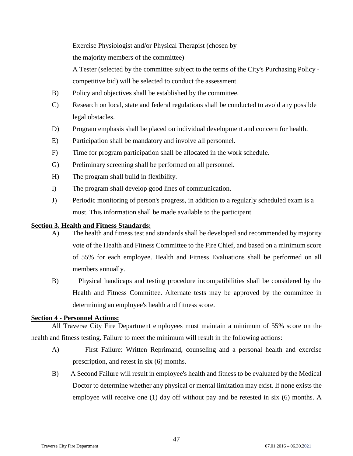Exercise Physiologist and/or Physical Therapist (chosen by

the majority members of the committee)

A Tester (selected by the committee subject to the terms of the City's Purchasing Policy competitive bid) will be selected to conduct the assessment.

- B) Policy and objectives shall be established by the committee.
- C) Research on local, state and federal regulations shall be conducted to avoid any possible legal obstacles.
- D) Program emphasis shall be placed on individual development and concern for health.
- E) Participation shall be mandatory and involve all personnel.
- F) Time for program participation shall be allocated in the work schedule.
- G) Preliminary screening shall be performed on all personnel.
- H) The program shall build in flexibility.
- I) The program shall develop good lines of communication.
- J) Periodic monitoring of person's progress, in addition to a regularly scheduled exam is a must. This information shall be made available to the participant.

## <span id="page-46-0"></span>**Section 3. Health and Fitness Standards:**

- A) The health and fitness test and standards shall be developed and recommended by majority vote of the Health and Fitness Committee to the Fire Chief, and based on a minimum score of 55% for each employee. Health and Fitness Evaluations shall be performed on all members annually.
- B) Physical handicaps and testing procedure incompatibilities shall be considered by the Health and Fitness Committee. Alternate tests may be approved by the committee in determining an employee's health and fitness score.

## <span id="page-46-1"></span>**Section 4 - Personnel Actions:**

All Traverse City Fire Department employees must maintain a minimum of 55% score on the health and fitness testing. Failure to meet the minimum will result in the following actions:

- A) First Failure: Written Reprimand, counseling and a personal health and exercise prescription, and retest in six (6) months.
- B) A Second Failure will result in employee's health and fitness to be evaluated by the Medical Doctor to determine whether any physical or mental limitation may exist. If none exists the employee will receive one (1) day off without pay and be retested in six (6) months. A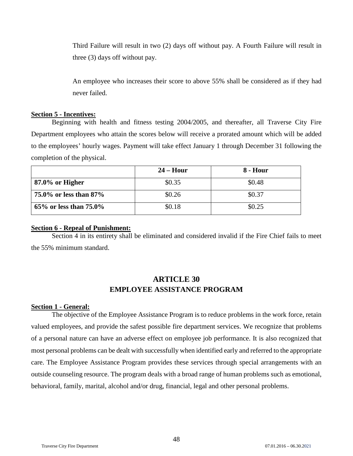Third Failure will result in two (2) days off without pay. A Fourth Failure will result in three (3) days off without pay.

An employee who increases their score to above 55% shall be considered as if they had never failed.

#### <span id="page-47-0"></span>**Section 5 - Incentives:**

Beginning with health and fitness testing 2004/2005, and thereafter, all Traverse City Fire Department employees who attain the scores below will receive a prorated amount which will be added to the employees' hourly wages. Payment will take effect January 1 through December 31 following the completion of the physical.

|                           | $24 -$ Hour | 8 - Hour |
|---------------------------|-------------|----------|
| $87.0\%$ or Higher        | \$0.35      | \$0.48   |
| 75.0% or less than $87\%$ | \$0.26      | \$0.37   |
| 65% or less than $75.0\%$ | \$0.18      | \$0.25   |

#### <span id="page-47-1"></span>**Section 6 - Repeal of Punishment:**

<span id="page-47-2"></span>Section 4 in its entirety shall be eliminated and considered invalid if the Fire Chief fails to meet the 55% minimum standard.

# **ARTICLE 30 EMPLOYEE ASSISTANCE PROGRAM**

## <span id="page-47-4"></span><span id="page-47-3"></span>**Section 1 - General:**

The objective of the Employee Assistance Program is to reduce problems in the work force, retain valued employees, and provide the safest possible fire department services. We recognize that problems of a personal nature can have an adverse effect on employee job performance. It is also recognized that most personal problems can be dealt with successfully when identified early and referred to the appropriate care. The Employee Assistance Program provides these services through special arrangements with an outside counseling resource. The program deals with a broad range of human problems such as emotional, behavioral, family, marital, alcohol and/or drug, financial, legal and other personal problems.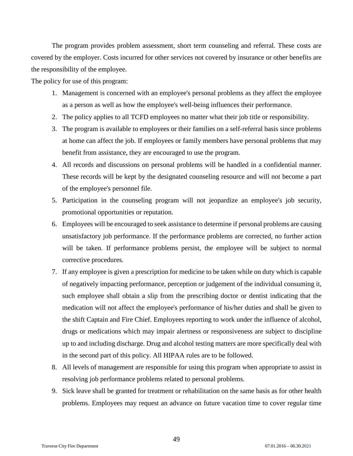The program provides problem assessment, short term counseling and referral. These costs are covered by the employer. Costs incurred for other services not covered by insurance or other benefits are the responsibility of the employee.

The policy for use of this program:

- 1. Management is concerned with an employee's personal problems as they affect the employee as a person as well as how the employee's well-being influences their performance.
- 2. The policy applies to all TCFD employees no matter what their job title or responsibility.
- 3. The program is available to employees or their families on a self-referral basis since problems at home can affect the job. If employees or family members have personal problems that may benefit from assistance, they are encouraged to use the program.
- 4. All records and discussions on personal problems will be handled in a confidential manner. These records will be kept by the designated counseling resource and will not become a part of the employee's personnel file.
- 5. Participation in the counseling program will not jeopardize an employee's job security, promotional opportunities or reputation.
- 6. Employees will be encouraged to seek assistance to determine if personal problems are causing unsatisfactory job performance. If the performance problems are corrected, no further action will be taken. If performance problems persist, the employee will be subject to normal corrective procedures.
- 7. If any employee is given a prescription for medicine to be taken while on duty which is capable of negatively impacting performance, perception or judgement of the individual consuming it, such employee shall obtain a slip from the prescribing doctor or dentist indicating that the medication will not affect the employee's performance of his/her duties and shall be given to the shift Captain and Fire Chief. Employees reporting to work under the influence of alcohol, drugs or medications which may impair alertness or responsiveness are subject to discipline up to and including discharge. Drug and alcohol testing matters are more specifically deal with in the second part of this policy. All HIPAA rules are to be followed.
- 8. All levels of management are responsible for using this program when appropriate to assist in resolving job performance problems related to personal problems.
- 9. Sick leave shall be granted for treatment or rehabilitation on the same basis as for other health problems. Employees may request an advance on future vacation time to cover regular time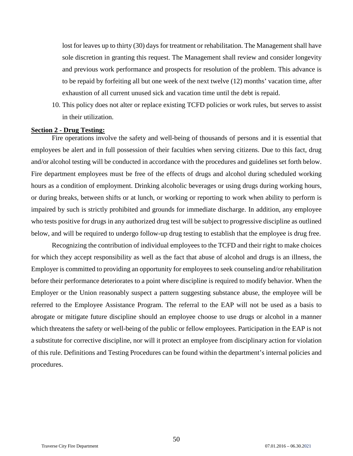lost for leaves up to thirty (30) days for treatment or rehabilitation. The Management shall have sole discretion in granting this request. The Management shall review and consider longevity and previous work performance and prospects for resolution of the problem. This advance is to be repaid by forfeiting all but one week of the next twelve (12) months' vacation time, after exhaustion of all current unused sick and vacation time until the debt is repaid.

10. This policy does not alter or replace existing TCFD policies or work rules, but serves to assist in their utilization.

## <span id="page-49-0"></span>**Section 2 - Drug Testing:**

Fire operations involve the safety and well-being of thousands of persons and it is essential that employees be alert and in full possession of their faculties when serving citizens. Due to this fact, drug and/or alcohol testing will be conducted in accordance with the procedures and guidelines set forth below. Fire department employees must be free of the effects of drugs and alcohol during scheduled working hours as a condition of employment. Drinking alcoholic beverages or using drugs during working hours, or during breaks, between shifts or at lunch, or working or reporting to work when ability to perform is impaired by such is strictly prohibited and grounds for immediate discharge. In addition, any employee who tests positive for drugs in any authorized drug test will be subject to progressive discipline as outlined below, and will be required to undergo follow-up drug testing to establish that the employee is drug free.

Recognizing the contribution of individual employees to the TCFD and their right to make choices for which they accept responsibility as well as the fact that abuse of alcohol and drugs is an illness, the Employer is committed to providing an opportunity for employees to seek counseling and/or rehabilitation before their performance deteriorates to a point where discipline is required to modify behavior. When the Employer or the Union reasonably suspect a pattern suggesting substance abuse, the employee will be referred to the Employee Assistance Program. The referral to the EAP will not be used as a basis to abrogate or mitigate future discipline should an employee choose to use drugs or alcohol in a manner which threatens the safety or well-being of the public or fellow employees. Participation in the EAP is not a substitute for corrective discipline, nor will it protect an employee from disciplinary action for violation of this rule. Definitions and Testing Procedures can be found within the department's internal policies and procedures.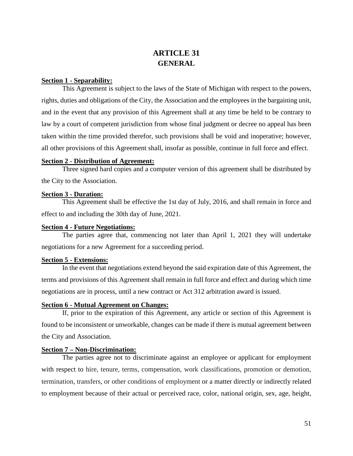# **ARTICLE 31 GENERAL**

## <span id="page-50-2"></span><span id="page-50-1"></span><span id="page-50-0"></span>**Section 1 - Separability:**

This Agreement is subject to the laws of the State of Michigan with respect to the powers, rights, duties and obligations of the City, the Association and the employees in the bargaining unit, and in the event that any provision of this Agreement shall at any time be held to be contrary to law by a court of competent jurisdiction from whose final judgment or decree no appeal has been taken within the time provided therefor, such provisions shall be void and inoperative; however, all other provisions of this Agreement shall, insofar as possible, continue in full force and effect.

## <span id="page-50-3"></span>**Section 2 - Distribution of Agreement:**

Three signed hard copies and a computer version of this agreement shall be distributed by the City to the Association.

## <span id="page-50-4"></span>**Section 3 - Duration:**

This Agreement shall be effective the 1st day of July, 2016, and shall remain in force and effect to and including the 30th day of June, 2021.

#### <span id="page-50-5"></span>**Section 4 - Future Negotiations:**

The parties agree that, commencing not later than April 1, 2021 they will undertake negotiations for a new Agreement for a succeeding period.

## <span id="page-50-6"></span>**Section 5 - Extensions:**

In the event that negotiations extend beyond the said expiration date of this Agreement, the terms and provisions of this Agreement shall remain in full force and effect and during which time negotiations are in process, until a new contract or Act 312 arbitration award is issued.

## <span id="page-50-7"></span>**Section 6 - Mutual Agreement on Changes:**

If, prior to the expiration of this Agreement, any article or section of this Agreement is found to be inconsistent or unworkable, changes can be made if there is mutual agreement between the City and Association.

## <span id="page-50-8"></span>**Section 7 – Non-Discrimination:**

The parties agree not to discriminate against an employee or applicant for employment with respect to hire, tenure, terms, compensation, work classifications, promotion or demotion, termination, transfers, or other conditions of employment or a matter directly or indirectly related to employment because of their actual or perceived race, color, national origin, sex, age, height,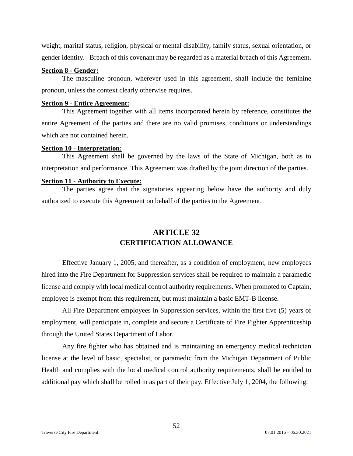weight, marital status, religion, physical or mental disability, family status, sexual orientation, or gender identity. Breach of this covenant may be regarded as a material breach of this Agreement.

## <span id="page-51-0"></span>**Section 8 - Gender:**

The masculine pronoun, wherever used in this agreement, shall include the feminine pronoun, unless the context clearly otherwise requires.

#### <span id="page-51-1"></span>**Section 9 - Entire Agreement:**

This Agreement together with all items incorporated herein by reference, constitutes the entire Agreement of the parties and there are no valid promises, conditions or understandings which are not contained herein.

#### <span id="page-51-2"></span>**Section 10 - Interpretation:**

This Agreement shall be governed by the laws of the State of Michigan, both as to interpretation and performance. This Agreement was drafted by the joint direction of the parties.

#### <span id="page-51-3"></span>**Section 11 - Authority to Execute:**

<span id="page-51-4"></span>The parties agree that the signatories appearing below have the authority and duly authorized to execute this Agreement on behalf of the parties to the Agreement.

# **ARTICLE 32 CERTIFICATION ALLOWANCE**

<span id="page-51-5"></span>Effective January 1, 2005, and thereafter, as a condition of employment, new employees hired into the Fire Department for Suppression services shall be required to maintain a paramedic license and comply with local medical control authority requirements. When promoted to Captain, employee is exempt from this requirement, but must maintain a basic EMT-B license.

All Fire Department employees in Suppression services, within the first five (5) years of employment, will participate in, complete and secure a Certificate of Fire Fighter Apprenticeship through the United States Department of Labor.

Any fire fighter who has obtained and is maintaining an emergency medical technician license at the level of basic, specialist, or paramedic from the Michigan Department of Public Health and complies with the local medical control authority requirements, shall be entitled to additional pay which shall be rolled in as part of their pay. Effective July 1, 2004, the following: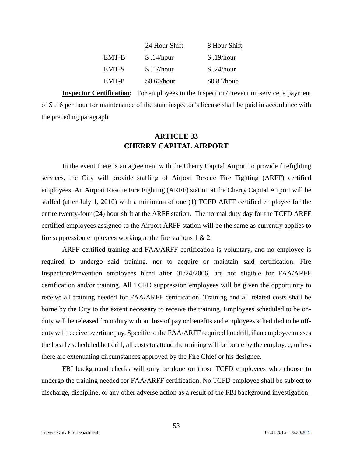|              | 24 Hour Shift | 8 Hour Shift |
|--------------|---------------|--------------|
| EMT-B        | \$.14/hour    | \$.19/hour   |
| <b>EMT-S</b> | \$.17/hour    | \$.24/hour   |
| EMT-P        | $$0.60/h$ our | \$0.84/hour  |

<span id="page-52-0"></span>**Inspector Certification:** For employees in the Inspection/Prevention service, a payment of \$ .16 per hour for maintenance of the state inspector's license shall be paid in accordance with the preceding paragraph.

# **ARTICLE 33 CHERRY CAPITAL AIRPORT**

<span id="page-52-1"></span>In the event there is an agreement with the Cherry Capital Airport to provide firefighting services, the City will provide staffing of Airport Rescue Fire Fighting (ARFF) certified employees. An Airport Rescue Fire Fighting (ARFF) station at the Cherry Capital Airport will be staffed (after July 1, 2010) with a minimum of one (1) TCFD ARFF certified employee for the entire twenty-four (24) hour shift at the ARFF station. The normal duty day for the TCFD ARFF certified employees assigned to the Airport ARFF station will be the same as currently applies to fire suppression employees working at the fire stations  $1 \& 2$ .

ARFF certified training and FAA/ARFF certification is voluntary, and no employee is required to undergo said training, nor to acquire or maintain said certification. Fire Inspection/Prevention employees hired after 01/24/2006, are not eligible for FAA/ARFF certification and/or training. All TCFD suppression employees will be given the opportunity to receive all training needed for FAA/ARFF certification. Training and all related costs shall be borne by the City to the extent necessary to receive the training. Employees scheduled to be onduty will be released from duty without loss of pay or benefits and employees scheduled to be offduty will receive overtime pay. Specific to the FAA/ARFF required hot drill, if an employee misses the locally scheduled hot drill, all costs to attend the training will be borne by the employee, unless there are extenuating circumstances approved by the Fire Chief or his designee.

FBI background checks will only be done on those TCFD employees who choose to undergo the training needed for FAA/ARFF certification. No TCFD employee shall be subject to discharge, discipline, or any other adverse action as a result of the FBI background investigation.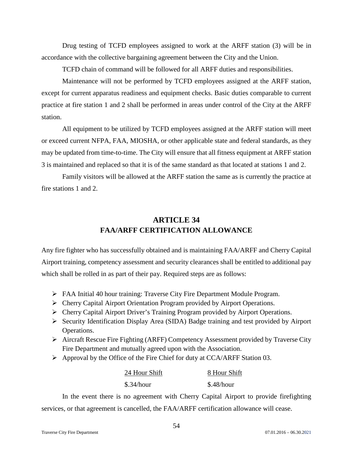Drug testing of TCFD employees assigned to work at the ARFF station (3) will be in accordance with the collective bargaining agreement between the City and the Union.

TCFD chain of command will be followed for all ARFF duties and responsibilities.

Maintenance will not be performed by TCFD employees assigned at the ARFF station, except for current apparatus readiness and equipment checks. Basic duties comparable to current practice at fire station 1 and 2 shall be performed in areas under control of the City at the ARFF station.

All equipment to be utilized by TCFD employees assigned at the ARFF station will meet or exceed current NFPA, FAA, MIOSHA, or other applicable state and federal standards, as they may be updated from time-to-time. The City will ensure that all fitness equipment at ARFF station 3 is maintained and replaced so that it is of the same standard as that located at stations 1 and 2.

<span id="page-53-0"></span>Family visitors will be allowed at the ARFF station the same as is currently the practice at fire stations 1 and 2.

# **ARTICLE 34 FAA/ARFF CERTIFICATION ALLOWANCE**

<span id="page-53-1"></span>Any fire fighter who has successfully obtained and is maintaining FAA/ARFF and Cherry Capital Airport training, competency assessment and security clearances shall be entitled to additional pay which shall be rolled in as part of their pay. Required steps are as follows:

- FAA Initial 40 hour training: Traverse City Fire Department Module Program.
- Cherry Capital Airport Orientation Program provided by Airport Operations.
- Cherry Capital Airport Driver's Training Program provided by Airport Operations.
- $\triangleright$  Security Identification Display Area (SIDA) Badge training and test provided by Airport Operations.
- $\triangleright$  Aircraft Rescue Fire Fighting (ARFF) Competency Assessment provided by Traverse City Fire Department and mutually agreed upon with the Association.
- Approval by the Office of the Fire Chief for duty at CCA/ARFF Station 03.

| 24 Hour Shift | 8 Hour Shift |
|---------------|--------------|
| \$.34/hour    | \$.48/hour   |

In the event there is no agreement with Cherry Capital Airport to provide firefighting services, or that agreement is cancelled, the FAA/ARFF certification allowance will cease.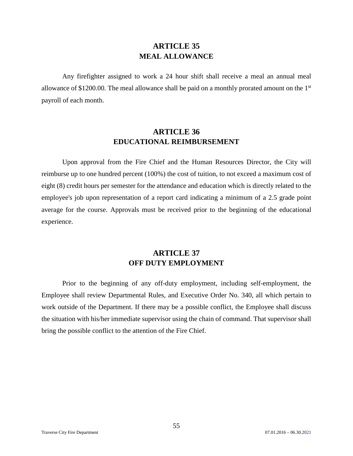# **ARTICLE 35 MEAL ALLOWANCE**

<span id="page-54-1"></span><span id="page-54-0"></span>Any firefighter assigned to work a 24 hour shift shall receive a meal an annual meal allowance of \$1200.00. The meal allowance shall be paid on a monthly prorated amount on the 1st payroll of each month.

# **ARTICLE 36 EDUCATIONAL REIMBURSEMENT**

<span id="page-54-3"></span><span id="page-54-2"></span>Upon approval from the Fire Chief and the Human Resources Director, the City will reimburse up to one hundred percent (100%) the cost of tuition, to not exceed a maximum cost of eight (8) credit hours per semester for the attendance and education which is directly related to the employee's job upon representation of a report card indicating a minimum of a 2.5 grade point average for the course. Approvals must be received prior to the beginning of the educational experience.

# **ARTICLE 37 OFF DUTY EMPLOYMENT**

<span id="page-54-5"></span><span id="page-54-4"></span>Prior to the beginning of any off-duty employment, including self-employment, the Employee shall review Departmental Rules, and Executive Order No. 340, all which pertain to work outside of the Department. If there may be a possible conflict, the Employee shall discuss the situation with his/her immediate supervisor using the chain of command. That supervisor shall bring the possible conflict to the attention of the Fire Chief.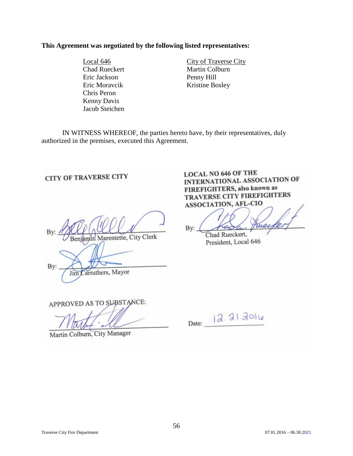## **This Agreement was negotiated by the following listed representatives:**

Eric Jackson Penny Hill Chris Peron Kenny Davis Jacob Steichen

Local 646 City of Traverse City Chad Rueckert Martin Colburn Eric Moravcik Kristine Bosley

IN WITNESS WHEREOF, the parties hereto have, by their representatives, duly authorized in the premises, executed this Agreement.

Marentette, City Clerk

By: Carruthers, Mayor Jim

<span id="page-55-0"></span>**CITY OF TRAVERSE CITY** 

**LOCAL NO 646 OF THE** INTERNATIONAL ASSOCIATION OF **FIREFIGHTERS, also known as TRAVERSE CITY FIREFIGHTERS** ASSOCIATION, AFL-CIO

ruec By:

Chad Rueckert, President, Local 646

APPROVED AS TO SUBSTANCE:

Date: 12.21.2016

Martin Colburn, City Manager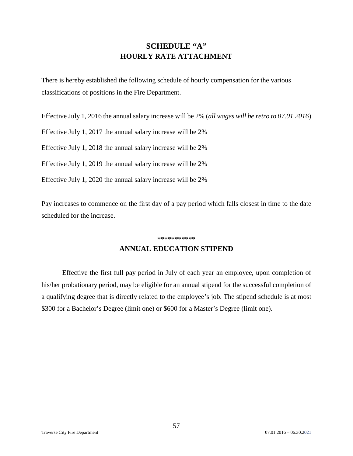<span id="page-56-0"></span>There is hereby established the following schedule of hourly compensation for the various classifications of positions in the Fire Department.

Effective July 1, 2016 the annual salary increase will be 2% (*all wages will be retro to 07.01.2016*)

Effective July 1, 2017 the annual salary increase will be 2%

Effective July 1, 2018 the annual salary increase will be 2%

Effective July 1, 2019 the annual salary increase will be 2%

Effective July 1, 2020 the annual salary increase will be 2%

Pay increases to commence on the first day of a pay period which falls closest in time to the date scheduled for the increase.

#### \*\*\*\*\*\*\*\*\*\*\*

## **ANNUAL EDUCATION STIPEND**

<span id="page-56-1"></span>Effective the first full pay period in July of each year an employee, upon completion of his/her probationary period, may be eligible for an annual stipend for the successful completion of a qualifying degree that is directly related to the employee's job. The stipend schedule is at most \$300 for a Bachelor's Degree (limit one) or \$600 for a Master's Degree (limit one).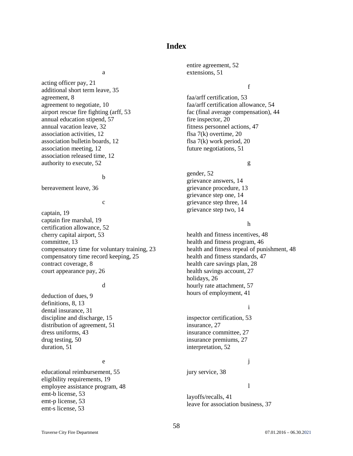## **Index**

#### a

<span id="page-57-0"></span>acting officer pay, 21 additional short term leave, 35 agreement, 8 agreement to negotiate, 10 airport rescue fire fighting (arff, 53 annual education stipend, 57 annual vacation leave, 32 association activities, 12 association bulletin boards, 12 association meeting, 12 association released time, 12 authority to execute, 52

#### b

bereavement leave, 36

#### c

captain, 19 captain fire marshal, 19 certification allowance, 52 cherry capital airport, 53 committee, 13 compensatory time for voluntary training, 23 compensatory time record keeping, 25 contract coverage, 8 court appearance pay, 26

#### d

deduction of dues, 9 definitions, 8, 13 dental insurance, 31 discipline and discharge, 15 distribution of agreement, 51 dress uniforms, 43 drug testing, 50 duration, 51

#### e

educational reimbursement, 55 eligibility requirements, 19 employee assistance program, 48 emt-b license, 53 emt-p license, 53 emt-s license, 53

entire agreement, 52 extensions, 51

f

faa/arff certification, 53 faa/arff certification allowance, 54 fac (final average compensation), 44 fire inspector, 20 fitness personnel actions, 47 flsa 7(k) overtime, 20 flsa 7(k) work period, 20 future negotiations, 51

## g

gender, 52 grievance answers, 14 grievance procedure, 13 grievance step one, 14 grievance step three, 14 grievance step two, 14

#### h

health and fitness incentives, 48 health and fitness program, 46 health and fitness repeal of punishment, 48 health and fitness standards, 47 health care savings plan, 28 health savings account, 27 holidays, 26 hourly rate attachment, 57 hours of employment, 41

#### i

inspector certification, 53 insurance, 27 insurance committee, 27 insurance premiums, 27 interpretation, 52

## j

jury service, 38

## l

layoffs/recalls, 41 leave for association business, 37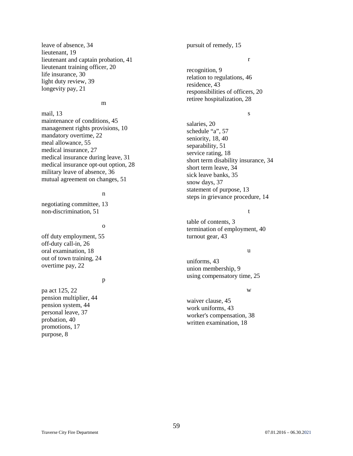leave of absence, 34 lieutenant, 19 lieutenant and captain probation, 41 lieutenant training officer, 20 life insurance, 30 light duty review, 39 longevity pay, 21

#### m

mail, 13 maintenance of conditions, 45 management rights provisions, 10 mandatory overtime, 22 meal allowance, 55 medical insurance, 27 medical insurance during leave, 31 medical insurance opt-out option, 28 military leave of absence, 36 mutual agreement on changes, 51

#### n

negotiating committee, 13 non-discrimination, 51

## o

off duty employment, 55 off-duty call-in, 26 oral examination, 18 out of town training, 24 overtime pay, 22

#### p

pa act 125, 22 pension multiplier, 44 pension system, 44 personal leave, 37 probation, 40 promotions, 17 purpose, 8

pursuit of remedy, 15

#### r

recognition, 9 relation to regulations, 46 residence, 43 responsibilities of officers, 20 retiree hospitalization, 28

## s

salaries, 20 schedule "a", 57 seniority, 18, 40 separability, 51 service rating, 18 short term disability insurance, 34 short term leave, 34 sick leave banks, 35 snow days, 37 statement of purpose, 13 steps in grievance procedure, 14

## t

table of contents, 3 termination of employment, 40 turnout gear, 43

#### u

uniforms, 43 union membership, 9 using compensatory time, 25

#### w

waiver clause, 45 work uniforms, 43 worker's compensation, 38 written examination, 18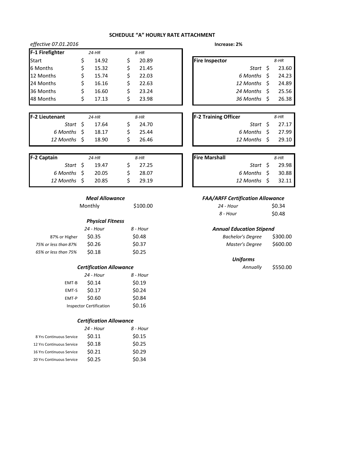| effective 07.01.2016<br>Increase: 2% |  |         |        |                       |           |    |        |
|--------------------------------------|--|---------|--------|-----------------------|-----------|----|--------|
| F-1 Firefighter                      |  | $24-HR$ | $8-HR$ |                       |           |    |        |
| Start                                |  | 14.92   | 20.89  | <b>Fire Inspector</b> |           |    | $8-HR$ |
| 6 Months                             |  | 15.32   | 21.45  |                       | Start     |    | 23.60  |
| 12 Months                            |  | 15.74   | 22.03  |                       | 6 Months  | S. | 24.23  |
| 24 Months                            |  | 16.16   | 22.63  |                       | 12 Months |    | 24.89  |
| 36 Months                            |  | 16.60   | 23.24  |                       | 24 Months | S. | 25.56  |
| 48 Months                            |  | 17.13   | 23.98  |                       | 36 Months |    | 26.38  |

| Increase: 2% |  |
|--------------|--|
|--------------|--|

| spector |              | 8-HR  |
|---------|--------------|-------|
|         | Start \$     | 23.60 |
|         | 6 Months \$  | 24.23 |
|         | 12 Months \$ | 24.89 |
|         | 24 Months \$ | 25.56 |
|         | 36 Months \$ | 26.38 |
|         |              |       |

| -2 Lieutenant | 24-HR         | 8-HR  | <b>F-2 Training Officer</b> | $8$ -HR             |
|---------------|---------------|-------|-----------------------------|---------------------|
|               | Start S 17.64 | 24.70 |                             | Start $\zeta$ 27.17 |
| 6 Months \$   | 18.17         | 25.44 | 6 Months \$ 27.99           |                     |
| 12 Months \$  | 18.90         | 26.46 | 12 Months S                 | 29.10               |
|               |               |       |                             |                     |

| F-2 Captain  | $24-HR$ | 8-HR  | <b>Fire Marshall</b> |              | $8-HR$ |
|--------------|---------|-------|----------------------|--------------|--------|
| Start S      | 19.47   | 27.25 |                      | Start S      | 29.98  |
| 6 Months \$  | 20.05   | 28.07 |                      | 6 Months \$  | 30.88  |
| 12 Months \$ | 20.85   | 29.19 |                      | 12 Months \$ | 32.11  |
|              |         |       |                      |              |        |

| Meal Allowance |  |  |
|----------------|--|--|
|                |  |  |

Monthly **5100.00** 

|                      | <b>Physical Fitness</b> |          |                                 |          |
|----------------------|-------------------------|----------|---------------------------------|----------|
|                      | 24 - Hour               | 8 - Hour | <b>Annual Education Stipend</b> |          |
| 87% or Higher        | \$0.35                  | \$0.48   | <b>Bachelor's Degree</b>        | \$300.00 |
| 75% or less than 87% | \$0.26                  | \$0.37   | Master's Degree                 | \$600.00 |
| 65% or less than 75% | \$0.18                  | \$0.25   |                                 |          |
|                      |                         |          |                                 |          |

#### *Certification Allowance*

|       | 24 - Hour                      | 8 - Hour |
|-------|--------------------------------|----------|
| EMT-B | \$0.14                         | \$0.19   |
| EMT-S | \$0.17                         | \$0.24   |
| EMT-P | \$0.60                         | \$0.84   |
|       | <b>Inspector Certification</b> | \$0.16   |

#### *Certification Allowance*

|                           | 24 - Hour | 8 - Hour |
|---------------------------|-----------|----------|
| 8 Yrs Continuous Service  | \$0.11    | \$0.15   |
| 12 Yrs Continuous Service | \$0.18    | \$0.25   |
| 16 Yrs Continuous Service | \$0.21    | \$0.29   |
| 20 Yrs Continuous Service | \$0.25    | \$0.34   |
|                           |           |          |

| Start \$    | 27.17 |
|-------------|-------|
| 6 Months S  | 27.99 |
| 12 Months S | 29.10 |
|             |       |

| 8-HR               |
|--------------------|
| Start \$ 29.98     |
| 6 Months \$ 30.88  |
| 12 Months \$ 32.11 |
|                    |

#### *FAA/ARFF Certification Allowance*

| 24 - Hour | \$0.34 |
|-----------|--------|
| 8 - Hour  | \$0.48 |

#### *Annual Education Stipend*

| <b>Bachelor's Degree</b> | \$300.00 |
|--------------------------|----------|
| Master's Degree          | \$600.00 |

#### *Uniforms*

*Annually* \$550.00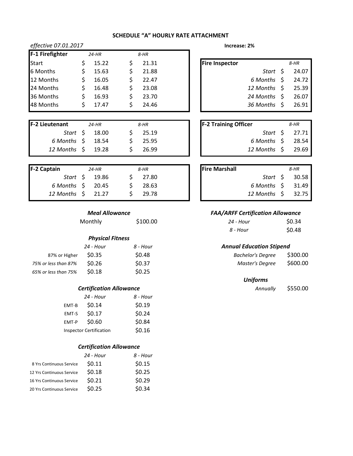| effective 07.01.2017<br>Increase: 2% |   |         |    |        |                       |                    |       |
|--------------------------------------|---|---------|----|--------|-----------------------|--------------------|-------|
| F-1 Firefighter                      |   | $24-HR$ |    | $8-HR$ |                       |                    |       |
| <b>Start</b>                         | S | 15.22   | S  | 21.31  | <b>Fire Inspector</b> |                    | 8-HR  |
| 6 Months                             | S | 15.63   | S  | 21.88  |                       | Start \$           | 24.07 |
| 12 Months                            | S | 16.05   | S  | 22.47  |                       | $6$ Months $\;$ \$ | 24.72 |
| 24 Months                            | S | 16.48   | \$ | 23.08  |                       | 12 Months \$       | 25.39 |
| 36 Months                            | S | 16.93   | S  | 23.70  |                       | 24 Months \$       | 26.07 |
| 48 Months                            | S | 17.47   |    | 24.46  |                       | 36 Months \$       | 26.91 |
|                                      |   |         |    |        |                       |                    |       |

| <b>F-2 Lieutenant</b>        | $24$ -HR              | 8-HR                | <b>F-2 Training Officer</b> | 8-HR           |
|------------------------------|-----------------------|---------------------|-----------------------------|----------------|
|                              | <i>Start</i> \$ 18.00 | 25.19               |                             | Start \$ 27.71 |
| 6 Months $\frac{1}{2}$ 18.54 |                       | $\frac{1}{2}$ 25.95 | 6 Months \$ 28.54           |                |
| 12 Months \$ 19.28           |                       | 26.99               | 12 Months \$ 29.69          |                |
|                              |                       |                     |                             |                |

| <b>F-2 Captain</b>       | $24$ -HR       | 8-HR  | <b>Fire Marshall</b> |                    | 8-HR  |
|--------------------------|----------------|-------|----------------------|--------------------|-------|
|                          | Start \$ 19.86 | 27.80 |                      | Start \$           | 30.58 |
| $6$ Months $\zeta$ 20.45 |                | 28.63 |                      | 6 Months \$ 31.49  |       |
| 12 Months \$ 21.27       |                | 29.78 |                      | 12 Months \$ 32.75 |       |

Monthly **\$100.00** 

# *Physical Fitness*

|                      | 24 - Hour         | 8 - Hour | <b>Annual Education Stipend</b> |          |  |
|----------------------|-------------------|----------|---------------------------------|----------|--|
| 87% or Higher        | S0.35             | \$0.48   | <b>Bachelor's Degree</b>        | \$300.00 |  |
| 75% or less than 87% | S <sub>0.26</sub> | \$0.37   | Master's Degree                 | \$600.00 |  |
| 65% or less than 75% | S <sub>0.18</sub> | \$0.25   |                                 |          |  |

## *Certification Allowance*

|                                | 24 - Hour | 8 - Hour |
|--------------------------------|-----------|----------|
| EMT-B                          | \$0.14    | \$0.19   |
| EMT-S                          | \$0.17    | \$0.24   |
| EMT-P                          | \$0.60    | \$0.84   |
| <b>Inspector Certification</b> | \$0.16    |          |

## *Certification Allowance*

|                           | 24 - Hour | 8 - Hour |
|---------------------------|-----------|----------|
| 8 Yrs Continuous Service  | \$0.11    | \$0.15   |
| 12 Yrs Continuous Service | \$0.18    | \$0.25   |
| 16 Yrs Continuous Service | \$0.21    | \$0.29   |
| 20 Yrs Continuous Service | \$0.25    | \$0.34   |
|                           |           |          |

| Increase: 2% |  |
|--------------|--|
|--------------|--|

| re Inspector |                    | 8-HR  |
|--------------|--------------------|-------|
|              | Start \$           | 24.07 |
|              | $6$ Months $\;$ \$ | 24.72 |
|              | 12 Months \$       | 25.39 |
|              | 24 Months \$       | 26.07 |
|              | 36 Months \$       | 26.91 |
|              |                    |       |

|                    | Start $\frac{1}{2}$ 27.71 |
|--------------------|---------------------------|
| $6$ Months $\;$ \$ | 28.54                     |
| 12 Months \$       | 29.69                     |
|                    |                           |

|                      | 8-HR                                          |
|----------------------|-----------------------------------------------|
|                      |                                               |
|                      | 31.49                                         |
|                      | - 32.75                                       |
| <b>Fire Marshall</b> | Start \$ 30.58<br>6 Months \$<br>12 Months \$ |

## *Meal Allowance FAA/ARFF Certification Allowance*

| 24 - Hour | \$0.34 |
|-----------|--------|
| 8 - Hour  | \$0.48 |

## *Annual Education Stipend*

| <b>Bachelor's Degree</b> | \$300.00 |
|--------------------------|----------|
| Master's Degree          | \$600.00 |

| Annually | \$550.00 |
|----------|----------|
|----------|----------|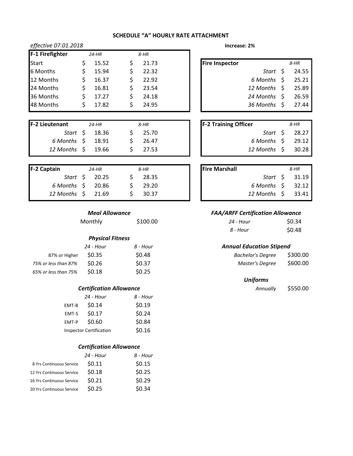| effective 07.01.2018 |   |         | Increase: 2% |                         |   |       |
|----------------------|---|---------|--------------|-------------------------|---|-------|
| F-1 Firefighter      |   | $24-HR$ | $8-HR$       |                         |   |       |
| <b>Start</b>         |   | 15.52   | 21.73        | <b>Fire Inspector</b>   |   | 8-HR  |
| 6 Months             |   | 15.94   | 22.32        | Start S                 |   | 24.55 |
| 12 Months            |   | 16.37   | 22.92        | 6 Months                | S | 25.21 |
| 24 Months            |   | 16.81   | 23.54        | 12 Months \$            |   | 25.89 |
| 36 Months            | S | 17.27   | 24.18        | 24 Months $\frac{1}{2}$ |   | 26.59 |
| 48 Months            |   | 17.82   | 24.95        | 36 Months               |   | 27.44 |

| <b>F-2 Lieutenant</b>    | 24-HR                     | 8-HR  | <b>F-2 Training Officer</b> | 8-HR  |
|--------------------------|---------------------------|-------|-----------------------------|-------|
|                          | Start $\frac{2}{3}$ 18.36 | 25.70 | Start \$                    | 28.27 |
| $6$ Months $\zeta$ 18.91 |                           | 26.47 | 6 Months \$                 | 29.12 |
| 12 Months \$ 19.66       |                           | 27.53 | 12 Months \$                | 30.28 |
|                          |                           |       |                             |       |

| F-2 Captain        | 24-HR          | 8-HR      | <b>Fire Marshall</b> |                          | 8-HR                      |
|--------------------|----------------|-----------|----------------------|--------------------------|---------------------------|
|                    | Start \$ 20.25 | $S$ 28.35 |                      |                          | Start $\frac{1}{2}$ 31.19 |
| 6 Months \$ 20.86  |                | 29.20     |                      | $6$ Months $\,$ \$ 32.12 |                           |
| 12 Months \$ 21.69 |                | $S$ 30.37 |                      | 12 Months \$ 33.41       |                           |
|                    |                |           |                      |                          |                           |

Monthly **\$100.00** 

## *Physical Fitness*

|                      | 24 - Hour         | 8 - Hour | <b>Annual Education Stipend</b> |          |
|----------------------|-------------------|----------|---------------------------------|----------|
| 87% or Higher        | S0.35             | \$0.48   | Bachelor's Degree               | \$300.00 |
| 75% or less than 87% | S <sub>0.26</sub> | \$0.37   | Master's Degree                 | \$600.00 |
| 65% or less than 75% | S <sub>0.18</sub> | \$0.25   |                                 |          |

## *Certification Allowance*

|       | 24 - Hour                      | 8 - Hour |
|-------|--------------------------------|----------|
| EMT-B | \$0.14                         | \$0.19   |
| EMT-S | \$0.17                         | \$0.24   |
| EMT-P | \$0.60                         | \$0.84   |
|       | <b>Inspector Certification</b> | \$0.16   |

## *Certification Allowance*

|                           | 24 - Hour | 8 - Hour |
|---------------------------|-----------|----------|
| 8 Yrs Continuous Service  | \$0.11    | \$0.15   |
| 12 Yrs Continuous Service | \$0.18    | \$0.25   |
| 16 Yrs Continuous Service | \$0.21    | \$0.29   |
| 20 Yrs Continuous Service | \$0.25    | \$0.34   |
|                           |           |          |

| re Inspector |                    | $8-HR$ |
|--------------|--------------------|--------|
|              | Start \$           | 24.55  |
|              | $6$ Months $\;$ \$ | 25.21  |
|              | 12 Months \$       | 25.89  |
|              | 24 Months \$       | 26.59  |
|              | 36 Months \$       | 27.44  |
|              |                    |        |

| <b>F-2 Training Officer</b> |  | 8-HR           |
|-----------------------------|--|----------------|
|                             |  | Start \$ 28.27 |
| $6$ Months $\;$ \$          |  | 29.12          |
| 12 Months \$                |  | 30.28          |

| <b>Fire Marshall</b> |                          | 8-HR                 |
|----------------------|--------------------------|----------------------|
|                      |                          | <i>Start S</i> 31.19 |
|                      | $6$ Months $\beta$ 32.12 |                      |
|                      | 12 Months \$ 33.41       |                      |

## *Meal Allowance FAA/ARFF Certification Allowance*

| 24 - Hour | \$0.34 |
|-----------|--------|
| 8 - Hour  | \$0.48 |

## *Annual Education Stipend*

| <b>Bachelor's Degree</b> | \$300.00 |
|--------------------------|----------|
| Master's Degree          | \$600.00 |

| Annually | \$550.00 |
|----------|----------|
|----------|----------|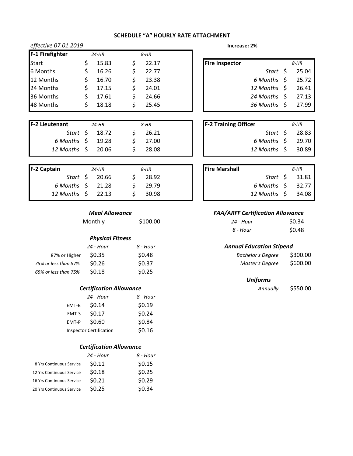| C  CULVCU/LJULIJ |  |       | $IIIUE$ asc. 4/0 |                       |              |              |       |
|------------------|--|-------|------------------|-----------------------|--------------|--------------|-------|
| F-1 Firefighter  |  | 24-HR | 8-HR             |                       |              |              |       |
| <b>Start</b>     |  | 15.83 | 22.17            | <b>Fire Inspector</b> |              |              | 8-HR  |
| 6 Months         |  | 16.26 | 22.77            |                       | Start S      |              | 25.04 |
| 12 Months        |  | 16.70 | 23.38            |                       | 6 Months     |              | 25.72 |
| 24 Months        |  | 17.15 | 24.01            |                       | 12 Months \$ |              | 26.41 |
| 36 Months        |  | 17.61 | 24.66            |                       | 24 Months    | <sup>S</sup> | 27.13 |
| 48 Months        |  | 18.18 | 25.45            |                       | 36 Months    |              | 27.99 |

*effective 07.01.2019* **Increase: 2%**

| <b>F-2 Lieutenant</b> | $24-HR$            | 8-HR  | <b>F-2 Training Officer</b> | 8-HR  |
|-----------------------|--------------------|-------|-----------------------------|-------|
|                       | Start $\sin 18.72$ | 26.21 | Start S                     | 28.83 |
| 6 Months \$ 19.28     |                    | 27.00 | 6 Months \$                 | 29.70 |
| 12 Months \$ 20.06    |                    | 28.08 | 12 Months \$                | 30.89 |

| <b>F-2 Captain</b>           | $24$ -HR       | 8-HR    | <b>Fire Marshall</b> |                          | 8-HR           |
|------------------------------|----------------|---------|----------------------|--------------------------|----------------|
|                              | Start \$ 20.66 | 28.92   |                      |                          | Start \$ 31.81 |
| 6 Months $\frac{1}{2}$ 21.28 |                | 29.79   |                      | $6$ Months $\;$ \$ 32.77 |                |
| 12 Months \$ 22.13           |                | - 30.98 |                      | 12 Months \$ 34.08       |                |

| Monthly           |          | 24 - Hour                                                    | \$0.34                                                                     |
|-------------------|----------|--------------------------------------------------------------|----------------------------------------------------------------------------|
|                   |          | 8 - Hour                                                     | \$0.48                                                                     |
|                   |          |                                                              |                                                                            |
| 24 - Hour         | 8 - Hour |                                                              |                                                                            |
| S <sub>0.35</sub> | \$0.48   | <b>Bachelor's Degree</b>                                     | \$300.00                                                                   |
| \$0.26            | \$0.37   | Master's Degree                                              | \$600.00                                                                   |
| \$0.18            | \$0.25   |                                                              |                                                                            |
|                   |          | <b>Meal Allowance</b><br>\$100.00<br><b>Physical Fitness</b> | <b>FAA/ARFF Certification Allowance</b><br><b>Annual Education Stipend</b> |

## *Certification Allowance*

|       | 24 - Hour                      | 8 - Hour |
|-------|--------------------------------|----------|
| EMT-B | \$0.14                         | \$0.19   |
| EMT-S | \$0.17                         | \$0.24   |
| EMT-P | \$0.60                         | \$0.84   |
|       | <b>Inspector Certification</b> | \$0.16   |

## *Certification Allowance*

| 24 - Hour | 8 - Hour |
|-----------|----------|
| \$0.11    | \$0.15   |
| \$0.18    | \$0.25   |
| \$0.21    | \$0.29   |
| \$0.25    | \$0.34   |
|           |          |

| Increase: 2% |  |
|--------------|--|
|--------------|--|

| ire Inspector |                    | 8-HR  |
|---------------|--------------------|-------|
|               | Start \$           | 25.04 |
|               | $6$ Months $\;$ \$ | 25.72 |
|               | 12 Months \$       | 26.41 |
|               | 24 Months \$       | 27.13 |
|               | 36 Months \$       | 27.99 |
|               |                    |       |

| <b>F-2 Training Officer</b> | 8-HR  |
|-----------------------------|-------|
| Start \$                    | 28.83 |
| $6$ Months $\;$ \$          | 29.70 |
| 12 Months \$                | 30.89 |

| <b>Fire Marshall</b> |                    | 8-HR   |
|----------------------|--------------------|--------|
|                      | Start \$           | -31.81 |
|                      | $6$ Months $\;$ \$ | 32.77  |
|                      | 12 Months \$       | 34.08  |

## *Meal Allowance FAA/ARFF Certification Allowance*

| Monthly | \$100.00 | 24 - Hour | \$0.34 |
|---------|----------|-----------|--------|
|         |          | 8 - Hour  | \$0.48 |

## *Annual Education Stipend*

| <b>Bachelor's Degree</b> | \$300.00 |
|--------------------------|----------|
| Master's Degree          | \$600.00 |

| Annually | \$550.00 |
|----------|----------|
|----------|----------|